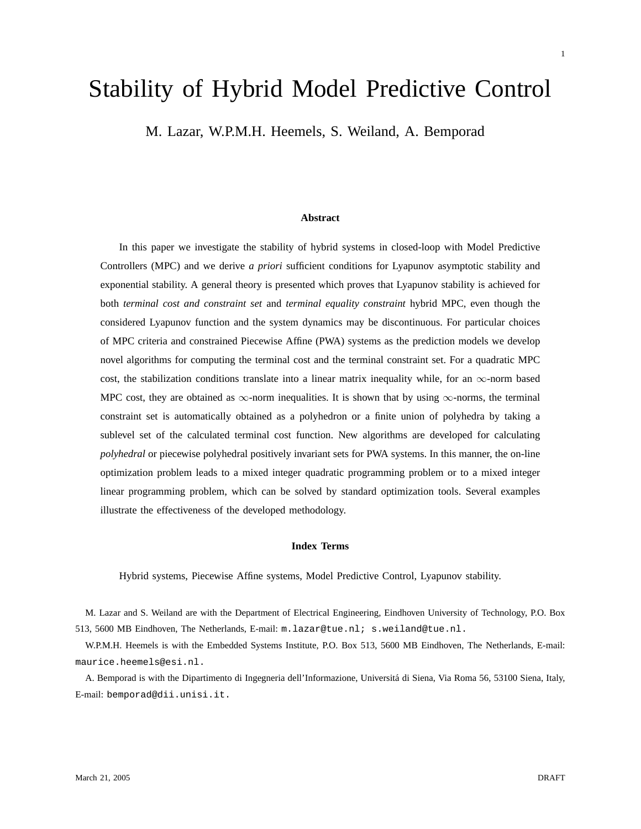# Stability of Hybrid Model Predictive Control

M. Lazar, W.P.M.H. Heemels, S. Weiland, A. Bemporad

#### **Abstract**

In this paper we investigate the stability of hybrid systems in closed-loop with Model Predictive Controllers (MPC) and we derive *a priori* sufficient conditions for Lyapunov asymptotic stability and exponential stability. A general theory is presented which proves that Lyapunov stability is achieved for both *terminal cost and constraint set* and *terminal equality constraint* hybrid MPC, even though the considered Lyapunov function and the system dynamics may be discontinuous. For particular choices of MPC criteria and constrained Piecewise Affine (PWA) systems as the prediction models we develop novel algorithms for computing the terminal cost and the terminal constraint set. For a quadratic MPC cost, the stabilization conditions translate into a linear matrix inequality while, for an  $\infty$ -norm based MPC cost, they are obtained as  $\infty$ -norm inequalities. It is shown that by using  $\infty$ -norms, the terminal constraint set is automatically obtained as a polyhedron or a finite union of polyhedra by taking a sublevel set of the calculated terminal cost function. New algorithms are developed for calculating *polyhedral* or piecewise polyhedral positively invariant sets for PWA systems. In this manner, the on-line optimization problem leads to a mixed integer quadratic programming problem or to a mixed integer linear programming problem, which can be solved by standard optimization tools. Several examples illustrate the effectiveness of the developed methodology.

#### **Index Terms**

Hybrid systems, Piecewise Affine systems, Model Predictive Control, Lyapunov stability.

M. Lazar and S. Weiland are with the Department of Electrical Engineering, Eindhoven University of Technology, P.O. Box 513, 5600 MB Eindhoven, The Netherlands, E-mail: m.lazar@tue.nl; s.weiland@tue.nl.

W.P.M.H. Heemels is with the Embedded Systems Institute, P.O. Box 513, 5600 MB Eindhoven, The Netherlands, E-mail: maurice.heemels@esi.nl.

A. Bemporad is with the Dipartimento di Ingegneria dell'Informazione, Universita di Siena, Via Roma 56, 53100 Siena, Italy, ´ E-mail: bemporad@dii.unisi.it.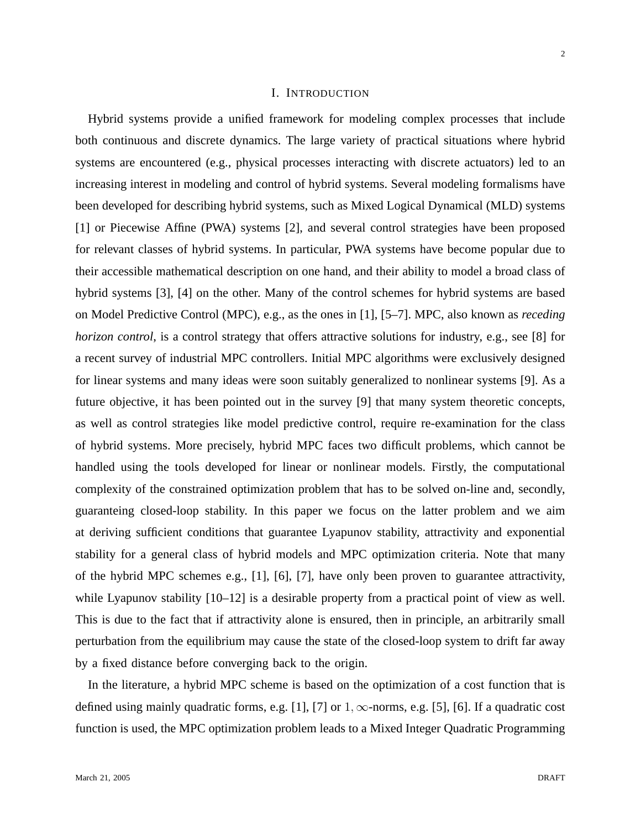## I. INTRODUCTION

Hybrid systems provide a unified framework for modeling complex processes that include both continuous and discrete dynamics. The large variety of practical situations where hybrid systems are encountered (e.g., physical processes interacting with discrete actuators) led to an increasing interest in modeling and control of hybrid systems. Several modeling formalisms have been developed for describing hybrid systems, such as Mixed Logical Dynamical (MLD) systems [1] or Piecewise Affine (PWA) systems [2], and several control strategies have been proposed for relevant classes of hybrid systems. In particular, PWA systems have become popular due to their accessible mathematical description on one hand, and their ability to model a broad class of hybrid systems [3], [4] on the other. Many of the control schemes for hybrid systems are based on Model Predictive Control (MPC), e.g., as the ones in [1], [5–7]. MPC, also known as *receding horizon control*, is a control strategy that offers attractive solutions for industry, e.g., see [8] for a recent survey of industrial MPC controllers. Initial MPC algorithms were exclusively designed for linear systems and many ideas were soon suitably generalized to nonlinear systems [9]. As a future objective, it has been pointed out in the survey [9] that many system theoretic concepts, as well as control strategies like model predictive control, require re-examination for the class of hybrid systems. More precisely, hybrid MPC faces two difficult problems, which cannot be handled using the tools developed for linear or nonlinear models. Firstly, the computational complexity of the constrained optimization problem that has to be solved on-line and, secondly, guaranteing closed-loop stability. In this paper we focus on the latter problem and we aim at deriving sufficient conditions that guarantee Lyapunov stability, attractivity and exponential stability for a general class of hybrid models and MPC optimization criteria. Note that many of the hybrid MPC schemes e.g., [1], [6], [7], have only been proven to guarantee attractivity, while Lyapunov stability  $[10-12]$  is a desirable property from a practical point of view as well. This is due to the fact that if attractivity alone is ensured, then in principle, an arbitrarily small perturbation from the equilibrium may cause the state of the closed-loop system to drift far away by a fixed distance before converging back to the origin.

In the literature, a hybrid MPC scheme is based on the optimization of a cost function that is defined using mainly quadratic forms, e.g. [1], [7] or  $1, \infty$ -norms, e.g. [5], [6]. If a quadratic cost function is used, the MPC optimization problem leads to a Mixed Integer Quadratic Programming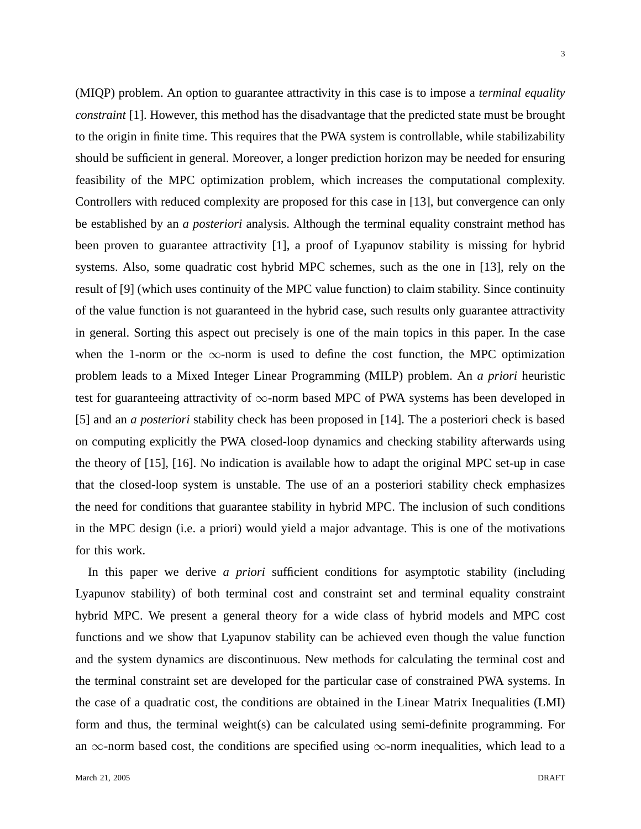(MIQP) problem. An option to guarantee attractivity in this case is to impose a *terminal equality constraint* [1]. However, this method has the disadvantage that the predicted state must be brought to the origin in finite time. This requires that the PWA system is controllable, while stabilizability should be sufficient in general. Moreover, a longer prediction horizon may be needed for ensuring feasibility of the MPC optimization problem, which increases the computational complexity. Controllers with reduced complexity are proposed for this case in [13], but convergence can only be established by an *a posteriori* analysis. Although the terminal equality constraint method has been proven to guarantee attractivity [1], a proof of Lyapunov stability is missing for hybrid systems. Also, some quadratic cost hybrid MPC schemes, such as the one in [13], rely on the result of [9] (which uses continuity of the MPC value function) to claim stability. Since continuity of the value function is not guaranteed in the hybrid case, such results only guarantee attractivity in general. Sorting this aspect out precisely is one of the main topics in this paper. In the case when the 1-norm or the  $\infty$ -norm is used to define the cost function, the MPC optimization problem leads to a Mixed Integer Linear Programming (MILP) problem. An *a priori* heuristic test for guaranteeing attractivity of  $\infty$ -norm based MPC of PWA systems has been developed in [5] and an *a posteriori* stability check has been proposed in [14]. The a posteriori check is based on computing explicitly the PWA closed-loop dynamics and checking stability afterwards using the theory of [15], [16]. No indication is available how to adapt the original MPC set-up in case that the closed-loop system is unstable. The use of an a posteriori stability check emphasizes the need for conditions that guarantee stability in hybrid MPC. The inclusion of such conditions in the MPC design (i.e. a priori) would yield a major advantage. This is one of the motivations for this work.

In this paper we derive *a priori* sufficient conditions for asymptotic stability (including Lyapunov stability) of both terminal cost and constraint set and terminal equality constraint hybrid MPC. We present a general theory for a wide class of hybrid models and MPC cost functions and we show that Lyapunov stability can be achieved even though the value function and the system dynamics are discontinuous. New methods for calculating the terminal cost and the terminal constraint set are developed for the particular case of constrained PWA systems. In the case of a quadratic cost, the conditions are obtained in the Linear Matrix Inequalities (LMI) form and thus, the terminal weight(s) can be calculated using semi-definite programming. For an  $\infty$ -norm based cost, the conditions are specified using  $\infty$ -norm inequalities, which lead to a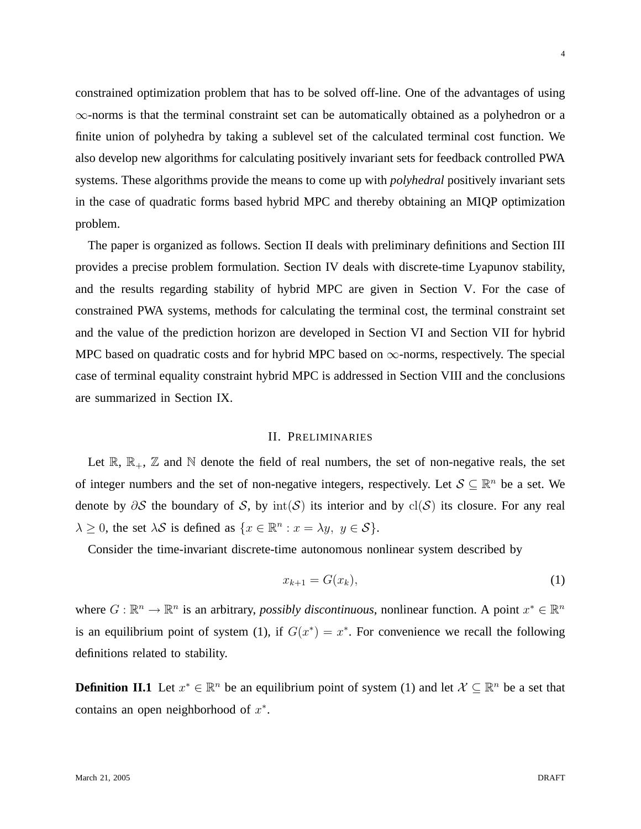4

constrained optimization problem that has to be solved off-line. One of the advantages of using ∞-norms is that the terminal constraint set can be automatically obtained as a polyhedron or a finite union of polyhedra by taking a sublevel set of the calculated terminal cost function. We also develop new algorithms for calculating positively invariant sets for feedback controlled PWA systems. These algorithms provide the means to come up with *polyhedral* positively invariant sets in the case of quadratic forms based hybrid MPC and thereby obtaining an MIQP optimization problem.

The paper is organized as follows. Section II deals with preliminary definitions and Section III provides a precise problem formulation. Section IV deals with discrete-time Lyapunov stability, and the results regarding stability of hybrid MPC are given in Section V. For the case of constrained PWA systems, methods for calculating the terminal cost, the terminal constraint set and the value of the prediction horizon are developed in Section VI and Section VII for hybrid MPC based on quadratic costs and for hybrid MPC based on  $\infty$ -norms, respectively. The special case of terminal equality constraint hybrid MPC is addressed in Section VIII and the conclusions are summarized in Section IX.

## II. PRELIMINARIES

Let  $\mathbb{R}, \mathbb{R}_+, \mathbb{Z}$  and  $\mathbb{N}$  denote the field of real numbers, the set of non-negative reals, the set of integer numbers and the set of non-negative integers, respectively. Let  $S \subseteq \mathbb{R}^n$  be a set. We denote by  $\partial S$  the boundary of S, by  $\text{int}(S)$  its interior and by cl(S) its closure. For any real  $\lambda \geq 0$ , the set  $\lambda S$  is defined as  $\{x \in \mathbb{R}^n : x = \lambda y, y \in S\}.$ 

Consider the time-invariant discrete-time autonomous nonlinear system described by

$$
x_{k+1} = G(x_k),\tag{1}
$$

where  $G : \mathbb{R}^n \to \mathbb{R}^n$  is an arbitrary, *possibly discontinuous*, nonlinear function. A point  $x^* \in \mathbb{R}^n$ is an equilibrium point of system (1), if  $G(x^*) = x^*$ . For convenience we recall the following definitions related to stability.

**Definition II.1** Let  $x^* \in \mathbb{R}^n$  be an equilibrium point of system (1) and let  $\mathcal{X} \subseteq \mathbb{R}^n$  be a set that contains an open neighborhood of  $x^*$ .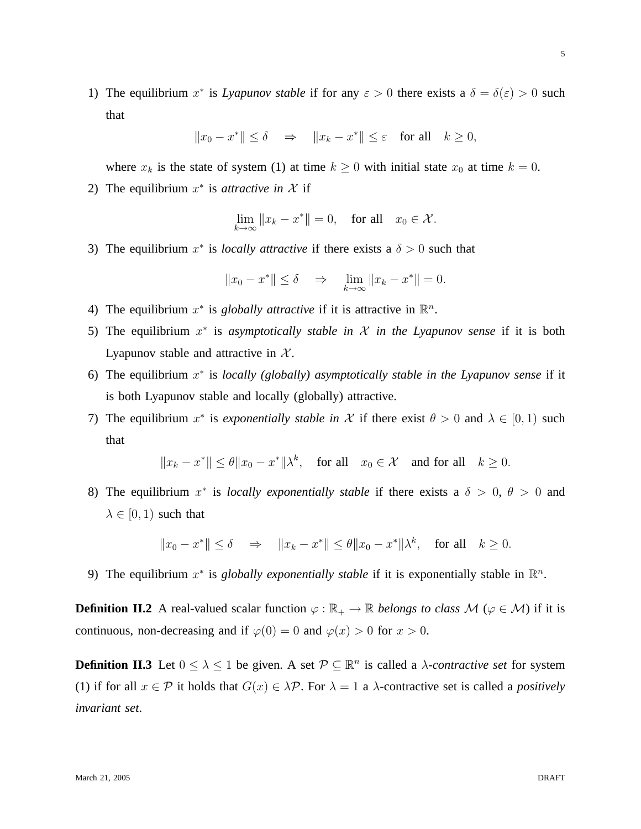1) The equilibrium  $x^*$  is *Lyapunov stable* if for any  $\varepsilon > 0$  there exists a  $\delta = \delta(\varepsilon) > 0$  such that

$$
||x_0 - x^*|| \le \delta \quad \Rightarrow \quad ||x_k - x^*|| \le \varepsilon \quad \text{for all} \quad k \ge 0,
$$

where  $x_k$  is the state of system (1) at time  $k \ge 0$  with initial state  $x_0$  at time  $k = 0$ .

2) The equilibrium  $x^*$  is *attractive in*  $\mathcal X$  if

$$
\lim_{k \to \infty} ||x_k - x^*|| = 0, \quad \text{for all} \quad x_0 \in \mathcal{X}.
$$

3) The equilibrium  $x^*$  is *locally attractive* if there exists a  $\delta > 0$  such that

$$
||x_0 - x^*|| \le \delta \quad \Rightarrow \quad \lim_{k \to \infty} ||x_k - x^*|| = 0.
$$

- 4) The equilibrium  $x^*$  is *globally attractive* if it is attractive in  $\mathbb{R}^n$ .
- 5) The equilibrium  $x^*$  is *asymptotically stable in*  $\mathcal X$  *in the Lyapunov sense* if it is both Lyapunov stable and attractive in  $X$ .
- 6) The equilibrium  $x^*$  is *locally (globally) asymptotically stable in the Lyapunov sense* if it is both Lyapunov stable and locally (globally) attractive.
- 7) The equilibrium  $x^*$  is *exponentially stable in* X if there exist  $\theta > 0$  and  $\lambda \in [0, 1)$  such that

$$
||x_k - x^*|| \le \theta ||x_0 - x^*||\lambda^k
$$
, for all  $x_0 \in \mathcal{X}$  and for all  $k \ge 0$ .

8) The equilibrium  $x^*$  is *locally exponentially stable* if there exists a  $\delta > 0$ ,  $\theta > 0$  and  $\lambda \in [0, 1)$  such that

$$
||x_0 - x^*|| \le \delta \quad \Rightarrow \quad ||x_k - x^*|| \le \theta ||x_0 - x^*||\lambda^k, \quad \text{for all} \quad k \ge 0.
$$

9) The equilibrium  $x^*$  is *globally exponentially stable* if it is exponentially stable in  $\mathbb{R}^n$ .

**Definition II.2** A real-valued scalar function  $\varphi : \mathbb{R}_+ \to \mathbb{R}$  *belongs to class* M ( $\varphi \in \mathcal{M}$ ) if it is continuous, non-decreasing and if  $\varphi(0) = 0$  and  $\varphi(x) > 0$  for  $x > 0$ .

**Definition II.3** Let  $0 \leq \lambda \leq 1$  be given. A set  $\mathcal{P} \subseteq \mathbb{R}^n$  is called a *λ*-*contractive set* for system (1) if for all  $x \in \mathcal{P}$  it holds that  $G(x) \in \lambda \mathcal{P}$ . For  $\lambda = 1$  a  $\lambda$ -contractive set is called a *positively invariant set*.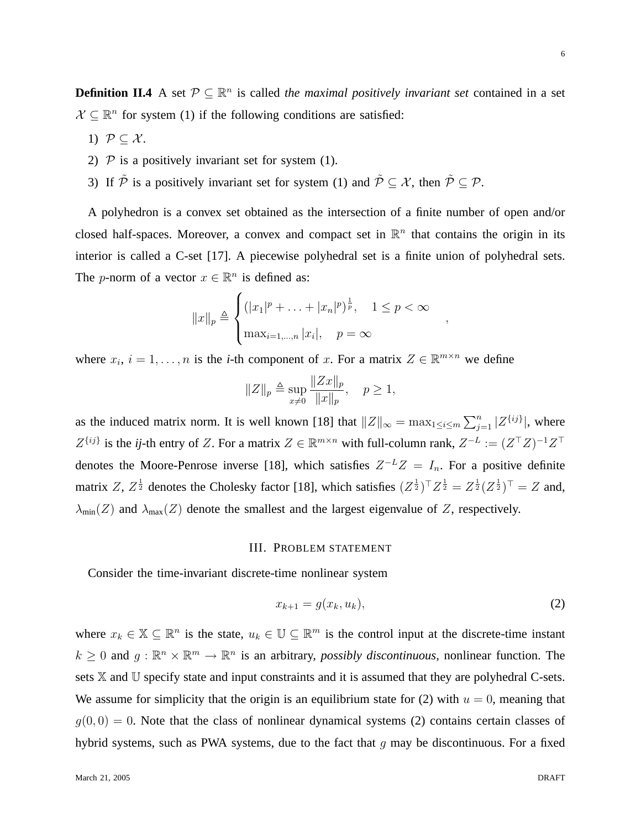,

6

**Definition II.4** A set  $\mathcal{P} \subseteq \mathbb{R}^n$  is called *the maximal positively invariant set* contained in a set  $\mathcal{X} \subseteq \mathbb{R}^n$  for system (1) if the following conditions are satisfied:

- 1)  $P \subseteq \mathcal{X}$ .
- 2)  $P$  is a positively invariant set for system (1).
- 3) If  $\tilde{P}$  is a positively invariant set for system (1) and  $\tilde{P} \subset \mathcal{X}$ , then  $\tilde{P} \subset \mathcal{P}$ .

A polyhedron is a convex set obtained as the intersection of a finite number of open and/or closed half-spaces. Moreover, a convex and compact set in  $\mathbb{R}^n$  that contains the origin in its interior is called a C-set [17]. A piecewise polyhedral set is a finite union of polyhedral sets. The *p*-norm of a vector  $x \in \mathbb{R}^n$  is defined as:

$$
||x||_p \triangleq \begin{cases} (|x_1|^p + \dots + |x_n|^p)^{\frac{1}{p}}, & 1 \le p < \infty \\ \max_{i=1,\dots,n} |x_i|, & p = \infty \end{cases}
$$

where  $x_i$ ,  $i = 1, \ldots, n$  is the *i*-th component of x. For a matrix  $Z \in \mathbb{R}^{m \times n}$  we define

$$
||Z||_p \triangleq \sup_{x \neq 0} \frac{||Zx||_p}{||x||_p}, \quad p \ge 1,
$$

as the induced matrix norm. It is well known [18] that  $||Z||_{\infty} = \max_{1 \leq i \leq m} \sum_{j=1}^{n} |Z^{\{ij\}}|$ , where  $Z^{\{ij\}}$  is the *ij*-th entry of Z. For a matrix  $Z \in \mathbb{R}^{m \times n}$  with full-column rank,  $Z^{-L} := (Z^{\top}Z)^{-1}Z^{\top}$ denotes the Moore-Penrose inverse [18], which satisfies  $Z^{-L}Z = I_n$ . For a positive definite matrix Z,  $Z^{\frac{1}{2}}$  denotes the Cholesky factor [18], which satisfies  $(Z^{\frac{1}{2}})^{\top}Z^{\frac{1}{2}} = Z^{\frac{1}{2}}(Z^{\frac{1}{2}})^{\top} = Z$  and,  $\lambda_{\min}(Z)$  and  $\lambda_{\max}(Z)$  denote the smallest and the largest eigenvalue of Z, respectively.

## III. PROBLEM STATEMENT

Consider the time-invariant discrete-time nonlinear system

$$
x_{k+1} = g(x_k, u_k),\tag{2}
$$

where  $x_k \in \mathbb{X} \subseteq \mathbb{R}^n$  is the state,  $u_k \in \mathbb{U} \subseteq \mathbb{R}^m$  is the control input at the discrete-time instant  $k \geq 0$  and  $g: \mathbb{R}^n \times \mathbb{R}^m \to \mathbb{R}^n$  is an arbitrary, *possibly discontinuous*, nonlinear function. The sets X and U specify state and input constraints and it is assumed that they are polyhedral C-sets. We assume for simplicity that the origin is an equilibrium state for (2) with  $u = 0$ , meaning that  $q(0, 0) = 0$ . Note that the class of nonlinear dynamical systems (2) contains certain classes of hybrid systems, such as PWA systems, due to the fact that  $q$  may be discontinuous. For a fixed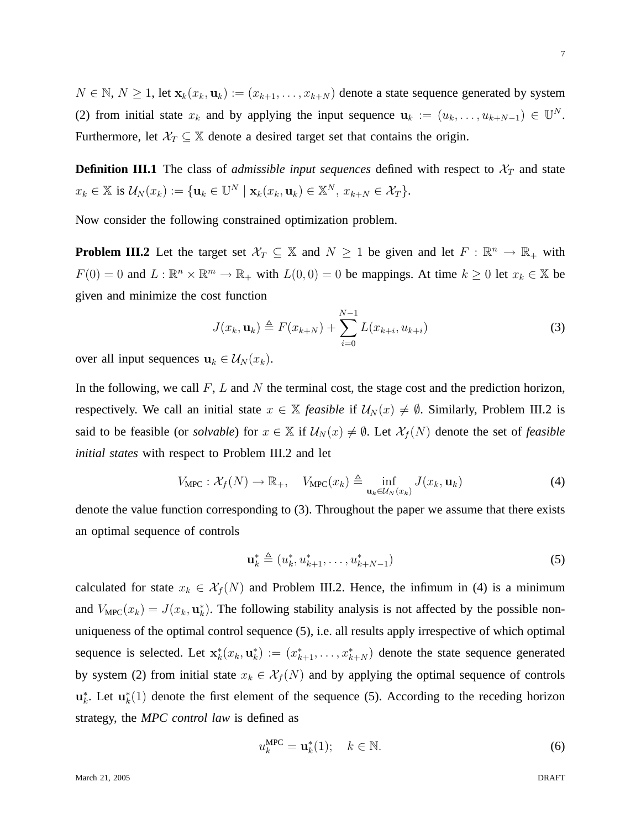$N \in \mathbb{N}, N \ge 1$ , let  $\mathbf{x}_k(x_k, \mathbf{u}_k) := (x_{k+1}, \ldots, x_{k+N})$  denote a state sequence generated by system (2) from initial state  $x_k$  and by applying the input sequence  $\mathbf{u}_k := (u_k, \dots, u_{k+N-1}) \in \mathbb{U}^N$ . Furthermore, let  $\mathcal{X}_T \subseteq \mathbb{X}$  denote a desired target set that contains the origin.

**Definition III.1** The class of *admissible input sequences* defined with respect to  $\mathcal{X}_T$  and state  $x_k \in \mathbb{X}$  is  $\mathcal{U}_N(x_k) := \{ \mathbf{u}_k \in \mathbb{U}^N \mid \mathbf{x}_k(x_k, \mathbf{u}_k) \in \mathbb{X}^N, x_{k+N} \in \mathcal{X}_T \}.$ 

Now consider the following constrained optimization problem.

**Problem III.2** Let the target set  $\mathcal{X}_T \subseteq \mathbb{X}$  and  $N \geq 1$  be given and let  $F : \mathbb{R}^n \to \mathbb{R}_+$  with  $F(0) = 0$  and  $L : \mathbb{R}^n \times \mathbb{R}^m \to \mathbb{R}_+$  with  $L(0,0) = 0$  be mappings. At time  $k \geq 0$  let  $x_k \in \mathbb{X}$  be given and minimize the cost function

$$
J(x_k, \mathbf{u}_k) \triangleq F(x_{k+N}) + \sum_{i=0}^{N-1} L(x_{k+i}, u_{k+i})
$$
 (3)

over all input sequences  $\mathbf{u}_k \in \mathcal{U}_N(x_k)$ .

In the following, we call  $F$ ,  $L$  and  $N$  the terminal cost, the stage cost and the prediction horizon, respectively. We call an initial state  $x \in X$  *feasible* if  $U_N(x) \neq \emptyset$ . Similarly, Problem III.2 is said to be feasible (or *solvable*) for  $x \in X$  if  $U_N(x) \neq \emptyset$ . Let  $\mathcal{X}_f(N)$  denote the set of *feasible initial states* with respect to Problem III.2 and let

$$
V_{\text{MPC}}: \mathcal{X}_f(N) \to \mathbb{R}_+, \quad V_{\text{MPC}}(x_k) \triangleq \inf_{\mathbf{u}_k \in \mathcal{U}_N(x_k)} J(x_k, \mathbf{u}_k) \tag{4}
$$

denote the value function corresponding to (3). Throughout the paper we assume that there exists an optimal sequence of controls

$$
\mathbf{u}_{k}^{*} \triangleq (u_{k}^{*}, u_{k+1}^{*}, \dots, u_{k+N-1}^{*})
$$
\n(5)

calculated for state  $x_k \in \mathcal{X}_f(N)$  and Problem III.2. Hence, the infimum in (4) is a minimum and  $V_{\text{MPC}}(x_k) = J(x_k, \mathbf{u}_k^*)$ . The following stability analysis is not affected by the possible nonuniqueness of the optimal control sequence (5), i.e. all results apply irrespective of which optimal sequence is selected. Let  $\mathbf{x}_{k}^{*}(x_{k}, \mathbf{u}_{k}^{*}):=(x_{k+1}^{*}, \ldots, x_{k+N}^{*})$  denote the state sequence generated by system (2) from initial state  $x_k \in \mathcal{X}_f(N)$  and by applying the optimal sequence of controls  $\mathbf{u}_k^*$ . Let  $\mathbf{u}_k^*(1)$  denote the first element of the sequence (5). According to the receding horizon strategy, the *MPC control law* is defined as

$$
u_k^{\text{MPC}} = \mathbf{u}_k^*(1); \quad k \in \mathbb{N}.\tag{6}
$$

7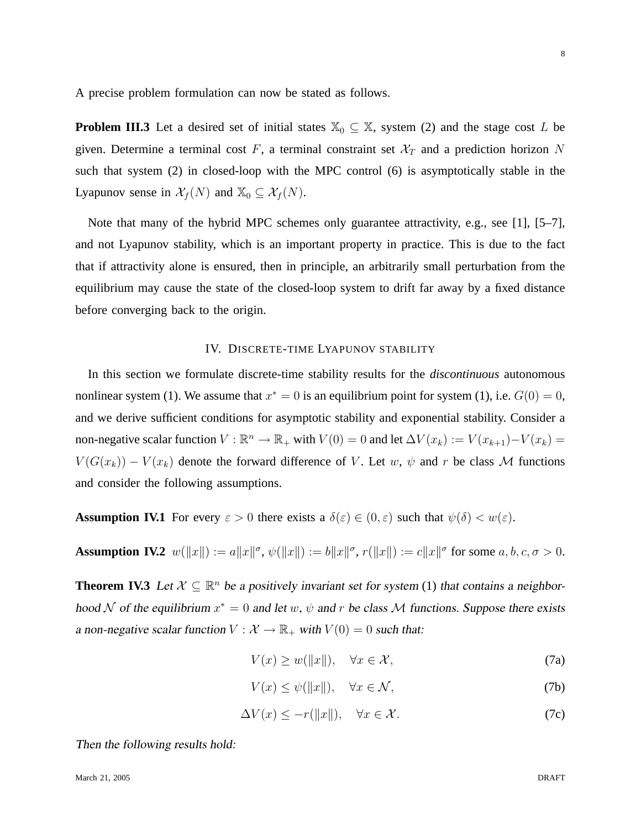A precise problem formulation can now be stated as follows.

**Problem III.3** Let a desired set of initial states  $\mathbb{X}_0 \subseteq \mathbb{X}$ , system (2) and the stage cost L be given. Determine a terminal cost F, a terminal constraint set  $\mathcal{X}_T$  and a prediction horizon N such that system (2) in closed-loop with the MPC control (6) is asymptotically stable in the Lyapunov sense in  $\mathcal{X}_f(N)$  and  $\mathbb{X}_0 \subseteq \mathcal{X}_f(N)$ .

Note that many of the hybrid MPC schemes only guarantee attractivity, e.g., see [1], [5–7], and not Lyapunov stability, which is an important property in practice. This is due to the fact that if attractivity alone is ensured, then in principle, an arbitrarily small perturbation from the equilibrium may cause the state of the closed-loop system to drift far away by a fixed distance before converging back to the origin.

## IV. DISCRETE-TIME LYAPUNOV STABILITY

In this section we formulate discrete-time stability results for the *discontinuous* autonomous nonlinear system (1). We assume that  $x^* = 0$  is an equilibrium point for system (1), i.e.  $G(0) = 0$ , and we derive sufficient conditions for asymptotic stability and exponential stability. Consider a non-negative scalar function  $V : \mathbb{R}^n \to \mathbb{R}_+$  with  $V(0) = 0$  and let  $\Delta V(x_k) := V(x_{k+1}) - V(x_k) =$  $V(G(x_k)) - V(x_k)$  denote the forward difference of V. Let w,  $\psi$  and r be class M functions and consider the following assumptions.

**Assumption IV.1** For every  $\varepsilon > 0$  there exists a  $\delta(\varepsilon) \in (0, \varepsilon)$  such that  $\psi(\delta) < w(\varepsilon)$ .

**Assumption IV.2**  $w(\|x\|) := a\|x\|^{\sigma}, \psi(\|x\|) := b\|x\|^{\sigma}, r(\|x\|) := c\|x\|^{\sigma}$  for some  $a, b, c, \sigma > 0$ .

**Theorem IV.3** Let  $X \subseteq \mathbb{R}^n$  be a positively invariant set for system (1) that contains a neighborhood N of the equilibrium  $x^* = 0$  and let w,  $\psi$  and r be class M functions. Suppose there exists a non-negative scalar function  $V : \mathcal{X} \to \mathbb{R}_+$  with  $V(0) = 0$  such that:

- $V(x) \geq w(\Vert x \Vert), \quad \forall x \in \mathcal{X},$  (7a)
- $V(x) \leq \psi(||x||), \quad \forall x \in \mathcal{N},$  (7b)
- $\Delta V(x) \leq -r(||x||), \quad \forall x \in \mathcal{X}.$  (7c)

Then the following results hold: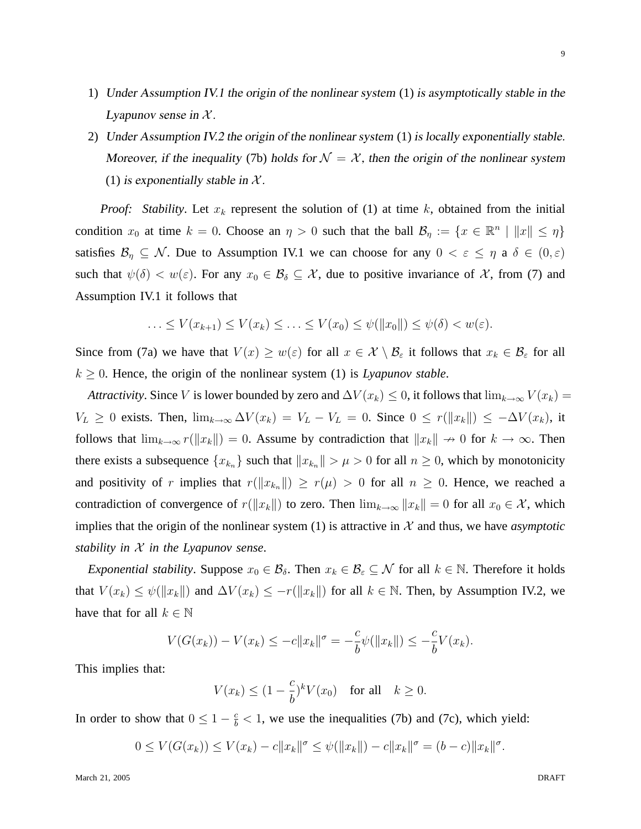- 1) Under Assumption IV.1 the origin of the nonlinear system (1) is asymptotically stable in the Lyapunov sense in  $X$ .
- 2) Under Assumption IV.2 the origin of the nonlinear system (1) is locally exponentially stable. Moreover, if the inequality (7b) holds for  $\mathcal{N} = \mathcal{X}$ , then the origin of the nonlinear system (1) is exponentially stable in  $X$ .

*Proof:* Stability. Let  $x_k$  represent the solution of (1) at time k, obtained from the initial condition  $x_0$  at time  $k = 0$ . Choose an  $\eta > 0$  such that the ball  $\mathcal{B}_{\eta} := \{x \in \mathbb{R}^n \mid ||x|| \leq \eta\}$ satisfies  $\mathcal{B}_\eta \subseteq \mathcal{N}$ . Due to Assumption IV.1 we can choose for any  $0 < \varepsilon \leq \eta$  a  $\delta \in (0,\varepsilon)$ such that  $\psi(\delta) < w(\varepsilon)$ . For any  $x_0 \in \mathcal{B}_\delta \subseteq \mathcal{X}$ , due to positive invariance of X, from (7) and Assumption IV.1 it follows that

$$
\ldots \le V(x_{k+1}) \le V(x_k) \le \ldots \le V(x_0) \le \psi(\|x_0\|) \le \psi(\delta) < w(\varepsilon).
$$

Since from (7a) we have that  $V(x) \geq w(\varepsilon)$  for all  $x \in \mathcal{X} \setminus \mathcal{B}_{\varepsilon}$  it follows that  $x_k \in \mathcal{B}_{\varepsilon}$  for all  $k \geq 0$ . Hence, the origin of the nonlinear system (1) is *Lyapunov stable*.

*Attractivity*. Since V is lower bounded by zero and  $\Delta V(x_k) \leq 0$ , it follows that  $\lim_{k\to\infty} V(x_k) =$  $V_L \geq 0$  exists. Then,  $\lim_{k\to\infty} \Delta V(x_k) = V_L - V_L = 0$ . Since  $0 \leq r(\|x_k\|) \leq -\Delta V(x_k)$ , it follows that  $\lim_{k\to\infty} r(||x_k||) = 0$ . Assume by contradiction that  $||x_k|| \to 0$  for  $k \to \infty$ . Then there exists a subsequence  ${x_{k_n}}$  such that  $||x_{k_n}|| > \mu > 0$  for all  $n \ge 0$ , which by monotonicity and positivity of r implies that  $r(\Vert x_{k_n} \Vert) \geq r(\mu) > 0$  for all  $n \geq 0$ . Hence, we reached a contradiction of convergence of  $r(\Vert x_k \Vert)$  to zero. Then  $\lim_{k\to\infty} ||x_k|| = 0$  for all  $x_0 \in \mathcal{X}$ , which implies that the origin of the nonlinear system  $(1)$  is attractive in  $\mathcal X$  and thus, we have *asymptotic stability in* X *in the Lyapunov sense*.

*Exponential stability.* Suppose  $x_0 \in \mathcal{B}_\delta$ . Then  $x_k \in \mathcal{B}_\varepsilon \subseteq \mathcal{N}$  for all  $k \in \mathbb{N}$ . Therefore it holds that  $V(x_k) \leq \psi(||x_k||)$  and  $\Delta V(x_k) \leq -r(||x_k||)$  for all  $k \in \mathbb{N}$ . Then, by Assumption IV.2, we have that for all  $k \in \mathbb{N}$ 

$$
V(G(x_k)) - V(x_k) \le -c||x_k||^{\sigma} = -\frac{c}{b}\psi(||x_k||) \le -\frac{c}{b}V(x_k).
$$

This implies that:

$$
V(x_k) \le (1 - \frac{c}{b})^k V(x_0) \quad \text{for all} \quad k \ge 0.
$$

In order to show that  $0 \leq 1 - \frac{c}{b} < 1$ , we use the inequalities (7b) and (7c), which yield:

$$
0 \le V(G(x_k)) \le V(x_k) - c||x_k||^{\sigma} \le \psi(||x_k||) - c||x_k||^{\sigma} = (b - c)||x_k||^{\sigma}.
$$

9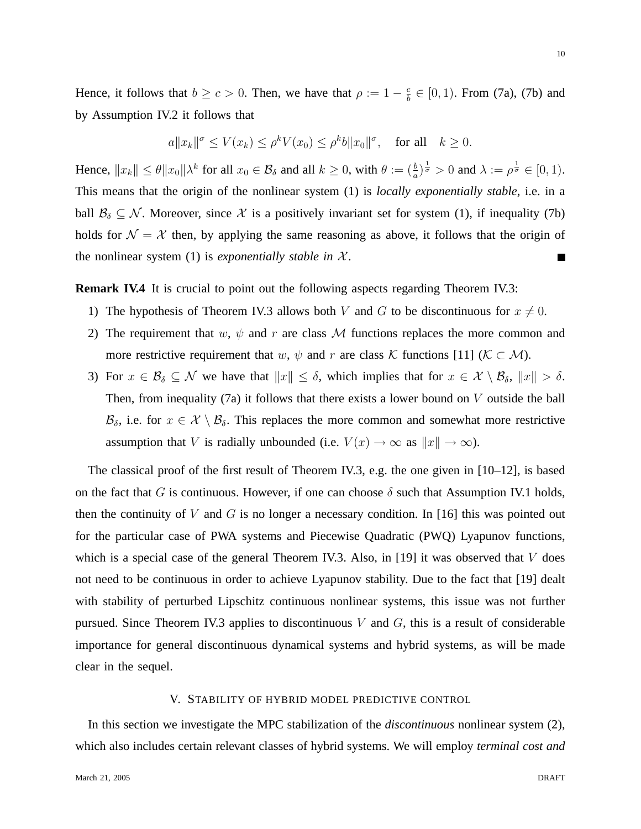Hence, it follows that  $b \geq c > 0$ . Then, we have that  $\rho := 1 - \frac{c}{b}$  $\frac{c}{b} \in [0, 1)$ . From (7a), (7b) and by Assumption IV.2 it follows that

$$
a||x_k||^{\sigma} \le V(x_k) \le \rho^k V(x_0) \le \rho^k b||x_0||^{\sigma}
$$
, for all  $k \ge 0$ .

Hence,  $||x_k|| \le \theta ||x_0|| \lambda^k$  for all  $x_0 \in \mathcal{B}_\delta$  and all  $k \ge 0$ , with  $\theta := (\frac{b}{a})^{\frac{1}{\sigma}} > 0$  and  $\lambda := \rho^{\frac{1}{\sigma}} \in [0, 1)$ . This means that the origin of the nonlinear system (1) is *locally exponentially stable*, i.e. in a ball  $\mathcal{B}_\delta \subseteq \mathcal{N}$ . Moreover, since X is a positively invariant set for system (1), if inequality (7b) holds for  $\mathcal{N} = \mathcal{X}$  then, by applying the same reasoning as above, it follows that the origin of the nonlinear system  $(1)$  is *exponentially stable in*  $\mathcal{X}$ .  $\blacksquare$ 

**Remark IV.4** It is crucial to point out the following aspects regarding Theorem IV.3:

- 1) The hypothesis of Theorem IV.3 allows both V and G to be discontinuous for  $x \neq 0$ .
- 2) The requirement that w,  $\psi$  and r are class M functions replaces the more common and more restrictive requirement that w,  $\psi$  and r are class K functions [11] ( $K \subset M$ ).
- 3) For  $x \in \mathcal{B}_\delta \subseteq \mathcal{N}$  we have that  $||x|| \leq \delta$ , which implies that for  $x \in \mathcal{X} \setminus \mathcal{B}_\delta$ ,  $||x|| > \delta$ . Then, from inequality (7a) it follows that there exists a lower bound on  $V$  outside the ball  $\mathcal{B}_\delta$ , i.e. for  $x \in \mathcal{X} \setminus \mathcal{B}_\delta$ . This replaces the more common and somewhat more restrictive assumption that V is radially unbounded (i.e.  $V(x) \to \infty$  as  $||x|| \to \infty$ ).

The classical proof of the first result of Theorem IV.3, e.g. the one given in [10–12], is based on the fact that G is continuous. However, if one can choose  $\delta$  such that Assumption IV.1 holds, then the continuity of V and G is no longer a necessary condition. In [16] this was pointed out for the particular case of PWA systems and Piecewise Quadratic (PWQ) Lyapunov functions, which is a special case of the general Theorem IV.3. Also, in [19] it was observed that  $V$  does not need to be continuous in order to achieve Lyapunov stability. Due to the fact that [19] dealt with stability of perturbed Lipschitz continuous nonlinear systems, this issue was not further pursued. Since Theorem IV.3 applies to discontinuous  $V$  and  $G$ , this is a result of considerable importance for general discontinuous dynamical systems and hybrid systems, as will be made clear in the sequel.

#### V. STABILITY OF HYBRID MODEL PREDICTIVE CONTROL

In this section we investigate the MPC stabilization of the *discontinuous* nonlinear system (2), which also includes certain relevant classes of hybrid systems. We will employ *terminal cost and*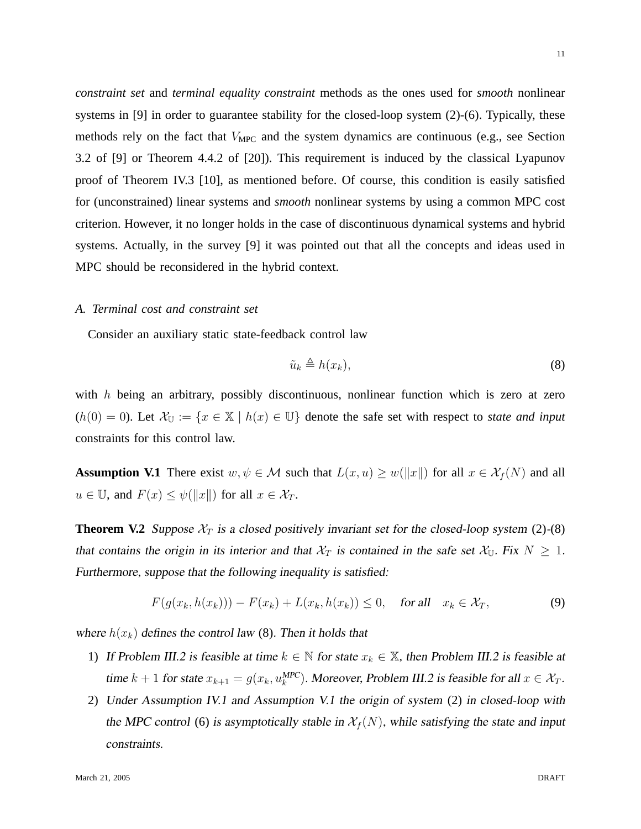11

*constraint set* and *terminal equality constraint* methods as the ones used for *smooth* nonlinear systems in [9] in order to guarantee stability for the closed-loop system (2)-(6). Typically, these methods rely on the fact that  $V_{\text{MPC}}$  and the system dynamics are continuous (e.g., see Section 3.2 of [9] or Theorem 4.4.2 of [20]). This requirement is induced by the classical Lyapunov proof of Theorem IV.3 [10], as mentioned before. Of course, this condition is easily satisfied for (unconstrained) linear systems and *smooth* nonlinear systems by using a common MPC cost criterion. However, it no longer holds in the case of discontinuous dynamical systems and hybrid systems. Actually, in the survey [9] it was pointed out that all the concepts and ideas used in MPC should be reconsidered in the hybrid context.

#### *A. Terminal cost and constraint set*

Consider an auxiliary static state-feedback control law

$$
\tilde{u}_k \triangleq h(x_k),\tag{8}
$$

with  $h$  being an arbitrary, possibly discontinuous, nonlinear function which is zero at zero  $(h(0) = 0)$ . Let  $\mathcal{X}_{\mathbb{U}} := \{x \in \mathbb{X} \mid h(x) \in \mathbb{U}\}\$  denote the safe set with respect to *state and input* constraints for this control law.

**Assumption V.1** There exist  $w, \psi \in \mathcal{M}$  such that  $L(x, u) \geq w(||x||)$  for all  $x \in \mathcal{X}_f(N)$  and all  $u \in \mathbb{U}$ , and  $F(x) \leq \psi(||x||)$  for all  $x \in \mathcal{X}_T$ .

**Theorem V.2** Suppose  $\mathcal{X}_T$  is a closed positively invariant set for the closed-loop system (2)-(8) that contains the origin in its interior and that  $\mathcal{X}_T$  is contained in the safe set  $\mathcal{X}_{\mathbb{U}}$ . Fix  $N \geq 1$ . Furthermore, suppose that the following inequality is satisfied:

$$
F(g(x_k, h(x_k))) - F(x_k) + L(x_k, h(x_k)) \le 0, \quad \text{for all} \quad x_k \in \mathcal{X}_T,\tag{9}
$$

where  $h(x_k)$  defines the control law (8). Then it holds that

- 1) If Problem III.2 is feasible at time  $k \in \mathbb{N}$  for state  $x_k \in \mathbb{X}$ , then Problem III.2 is feasible at time  $k+1$  for state  $x_{k+1} = g(x_k, u_k^{\text{MPC}})$ . Moreover, Problem III.2 is feasible for all  $x \in \mathcal{X}_T$ .
- 2) Under Assumption IV.1 and Assumption V.1 the origin of system (2) in closed-loop with the MPC control (6) is asymptotically stable in  $\mathcal{X}_f(N)$ , while satisfying the state and input constraints.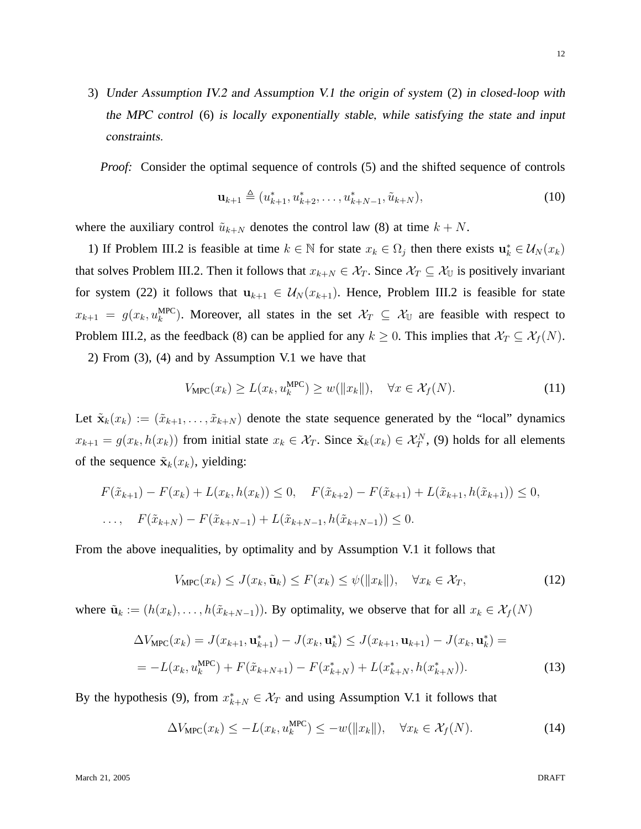3) Under Assumption IV.2 and Assumption V.1 the origin of system (2) in closed-loop with the MPC control (6) is locally exponentially stable, while satisfying the state and input constraints.

*Proof:* Consider the optimal sequence of controls (5) and the shifted sequence of controls

$$
\mathbf{u}_{k+1} \triangleq (u_{k+1}^*, u_{k+2}^*, \dots, u_{k+N-1}^*, \tilde{u}_{k+N}),
$$
\n(10)

where the auxiliary control  $\tilde{u}_{k+N}$  denotes the control law (8) at time  $k+N$ .

1) If Problem III.2 is feasible at time  $k \in \mathbb{N}$  for state  $x_k \in \Omega_j$  then there exists  $\mathbf{u}_k^* \in \mathcal{U}_N(x_k)$ that solves Problem III.2. Then it follows that  $x_{k+N} \in \mathcal{X}_T$ . Since  $\mathcal{X}_T \subseteq \mathcal{X}_U$  is positively invariant for system (22) it follows that  $u_{k+1} \in U_N(x_{k+1})$ . Hence, Problem III.2 is feasible for state  $x_{k+1} = g(x_k, u_k^{\text{MPC}})$ . Moreover, all states in the set  $\mathcal{X}_T \subseteq \mathcal{X}_U$  are feasible with respect to Problem III.2, as the feedback (8) can be applied for any  $k \ge 0$ . This implies that  $\mathcal{X}_T \subseteq \mathcal{X}_f(N)$ .

2) From (3), (4) and by Assumption V.1 we have that

$$
V_{\text{MPC}}(x_k) \ge L(x_k, u_k^{\text{MPC}}) \ge w(||x_k||), \quad \forall x \in \mathcal{X}_f(N). \tag{11}
$$

Let  $\tilde{\mathbf{x}}_k(x_k) := (\tilde{x}_{k+1}, \ldots, \tilde{x}_{k+N})$  denote the state sequence generated by the "local" dynamics  $x_{k+1} = g(x_k, h(x_k))$  from initial state  $x_k \in \mathcal{X}_T$ . Since  $\tilde{\mathbf{x}}_k(x_k) \in \mathcal{X}_T^N$ , (9) holds for all elements of the sequence  $\tilde{\mathbf{x}}_k(x_k)$ , yielding:

$$
F(\tilde{x}_{k+1}) - F(x_k) + L(x_k, h(x_k)) \le 0, \quad F(\tilde{x}_{k+2}) - F(\tilde{x}_{k+1}) + L(\tilde{x}_{k+1}, h(\tilde{x}_{k+1})) \le 0,
$$
  
..., 
$$
F(\tilde{x}_{k+N}) - F(\tilde{x}_{k+N-1}) + L(\tilde{x}_{k+N-1}, h(\tilde{x}_{k+N-1})) \le 0.
$$

From the above inequalities, by optimality and by Assumption V.1 it follows that

$$
V_{\text{MPC}}(x_k) \le J(x_k, \tilde{\mathbf{u}}_k) \le F(x_k) \le \psi(||x_k||), \quad \forall x_k \in \mathcal{X}_T,\tag{12}
$$

where  $\tilde{\mathbf{u}}_k := (h(x_k), \dots, h(\tilde{x}_{k+N-1}))$ . By optimality, we observe that for all  $x_k \in \mathcal{X}_f(N)$ 

$$
\Delta V_{\text{MPC}}(x_k) = J(x_{k+1}, \mathbf{u}_{k+1}^*) - J(x_k, \mathbf{u}_k^*) \le J(x_{k+1}, \mathbf{u}_{k+1}) - J(x_k, \mathbf{u}_k^*) =
$$
  
= 
$$
-L(x_k, u_k^{\text{MPC}}) + F(\tilde{x}_{k+N+1}) - F(x_{k+N}^*) + L(x_{k+N}^*, h(x_{k+N}^*)).
$$
 (13)

By the hypothesis (9), from  $x_{k+N}^* \in \mathcal{X}_T$  and using Assumption V.1 it follows that

$$
\Delta V_{\text{MPC}}(x_k) \le -L(x_k, u_k^{\text{MPC}}) \le -w(||x_k||), \quad \forall x_k \in \mathcal{X}_f(N). \tag{14}
$$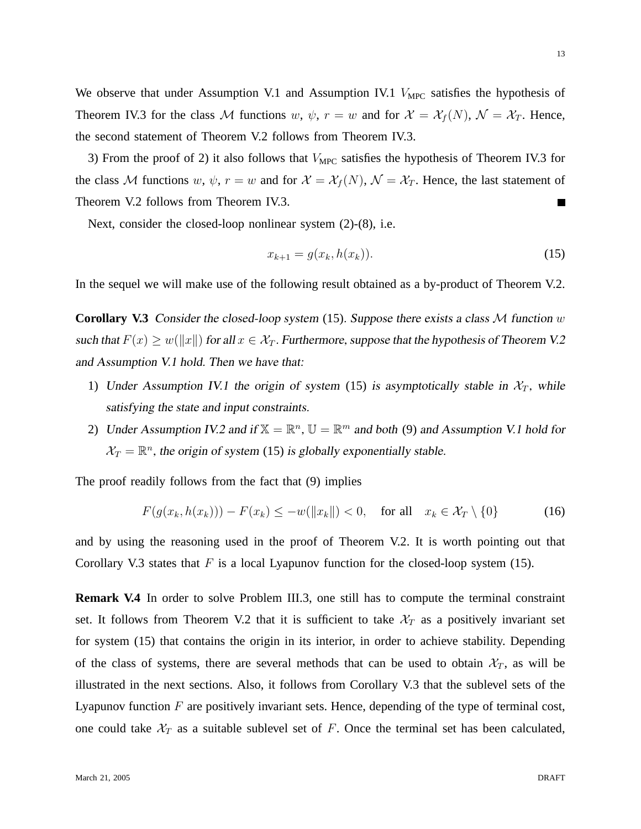We observe that under Assumption V.1 and Assumption IV.1  $V_{\text{MPC}}$  satisfies the hypothesis of Theorem IV.3 for the class M functions w,  $\psi$ ,  $r = w$  and for  $\mathcal{X} = \mathcal{X}_f(N)$ ,  $\mathcal{N} = \mathcal{X}_T$ . Hence, the second statement of Theorem V.2 follows from Theorem IV.3.

3) From the proof of 2) it also follows that  $V_{\text{MPC}}$  satisfies the hypothesis of Theorem IV.3 for the class M functions w,  $\psi$ ,  $r = w$  and for  $\mathcal{X} = \mathcal{X}_f(N)$ ,  $\mathcal{N} = \mathcal{X}_T$ . Hence, the last statement of Theorem V.2 follows from Theorem IV.3.  $\blacksquare$ 

Next, consider the closed-loop nonlinear system (2)-(8), i.e.

$$
x_{k+1} = g(x_k, h(x_k)).
$$
\n(15)

In the sequel we will make use of the following result obtained as a by-product of Theorem V.2.

**Corollary V.3** Consider the closed-loop system (15). Suppose there exists a class  $M$  function w such that  $F(x) \geq w(||x||)$  for all  $x \in \mathcal{X}_T$ . Furthermore, suppose that the hypothesis of Theorem V.2 and Assumption V.1 hold. Then we have that:

- 1) Under Assumption IV.1 the origin of system (15) is asymptotically stable in  $\mathcal{X}_T$ , while satisfying the state and input constraints.
- 2) Under Assumption IV.2 and if  $\mathbb{X} = \mathbb{R}^n$ ,  $\mathbb{U} = \mathbb{R}^m$  and both (9) and Assumption V.1 hold for  $\mathcal{X}_T = \mathbb{R}^n$ , the origin of system (15) is globally exponentially stable.

The proof readily follows from the fact that (9) implies

$$
F(g(x_k, h(x_k))) - F(x_k) \le -w(||x_k||) < 0, \quad \text{for all} \quad x_k \in \mathcal{X}_T \setminus \{0\} \tag{16}
$$

and by using the reasoning used in the proof of Theorem V.2. It is worth pointing out that Corollary V.3 states that  $F$  is a local Lyapunov function for the closed-loop system (15).

**Remark V.4** In order to solve Problem III.3, one still has to compute the terminal constraint set. It follows from Theorem V.2 that it is sufficient to take  $\mathcal{X}_T$  as a positively invariant set for system (15) that contains the origin in its interior, in order to achieve stability. Depending of the class of systems, there are several methods that can be used to obtain  $\mathcal{X}_T$ , as will be illustrated in the next sections. Also, it follows from Corollary V.3 that the sublevel sets of the Lyapunov function  $F$  are positively invariant sets. Hence, depending of the type of terminal cost, one could take  $\mathcal{X}_T$  as a suitable sublevel set of F. Once the terminal set has been calculated,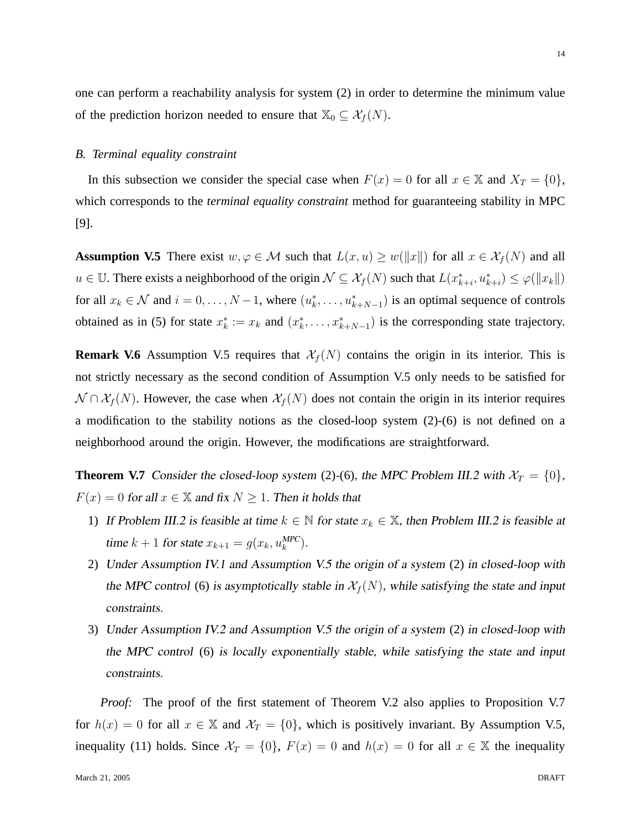one can perform a reachability analysis for system (2) in order to determine the minimum value of the prediction horizon needed to ensure that  $\mathbb{X}_0 \subseteq \mathcal{X}_f(N)$ .

## *B. Terminal equality constraint*

In this subsection we consider the special case when  $F(x) = 0$  for all  $x \in \mathbb{X}$  and  $X_T = \{0\}$ , which corresponds to the *terminal equality constraint* method for guaranteeing stability in MPC [9].

**Assumption V.5** There exist  $w, \varphi \in M$  such that  $L(x, u) \geq w(||x||)$  for all  $x \in \mathcal{X}_f(N)$  and all  $u \in \mathbb{U}$ . There exists a neighborhood of the origin  $\mathcal{N} \subseteq \mathcal{X}_f(N)$  such that  $L(x^*_{k+i}, u^*_{k+i}) \leq \varphi(\|x_k\|)$ for all  $x_k \in \mathcal{N}$  and  $i = 0, \ldots, N-1$ , where  $(u_k^*, \ldots, u_{k+N-1}^*)$  is an optimal sequence of controls obtained as in (5) for state  $x_k^* := x_k$  and  $(x_k^*, \ldots, x_{k+N-1}^*)$  is the corresponding state trajectory.

**Remark V.6** Assumption V.5 requires that  $\mathcal{X}_f(N)$  contains the origin in its interior. This is not strictly necessary as the second condition of Assumption V.5 only needs to be satisfied for  $\mathcal{N} \cap \mathcal{X}_f(N)$ . However, the case when  $\mathcal{X}_f(N)$  does not contain the origin in its interior requires a modification to the stability notions as the closed-loop system (2)-(6) is not defined on a neighborhood around the origin. However, the modifications are straightforward.

**Theorem V.7** Consider the closed-loop system (2)-(6), the MPC Problem III.2 with  $\mathcal{X}_T = \{0\}$ ,  $F(x) = 0$  for all  $x \in \mathbb{X}$  and fix  $N \ge 1$ . Then it holds that

- 1) If Problem III.2 is feasible at time  $k \in \mathbb{N}$  for state  $x_k \in \mathbb{X}$ , then Problem III.2 is feasible at time  $k + 1$  for state  $x_{k+1} = g(x_k, u_k^{\text{MPC}})$ .
- 2) Under Assumption IV.1 and Assumption V.5 the origin of a system (2) in closed-loop with the MPC control (6) is asymptotically stable in  $\mathcal{X}_f(N)$ , while satisfying the state and input constraints.
- 3) Under Assumption IV.2 and Assumption V.5 the origin of a system (2) in closed-loop with the MPC control (6) is locally exponentially stable, while satisfying the state and input constraints.

*Proof:* The proof of the first statement of Theorem V.2 also applies to Proposition V.7 for  $h(x) = 0$  for all  $x \in \mathbb{X}$  and  $\mathcal{X}_T = \{0\}$ , which is positively invariant. By Assumption V.5, inequality (11) holds. Since  $\mathcal{X}_T = \{0\}$ ,  $F(x) = 0$  and  $h(x) = 0$  for all  $x \in \mathbb{X}$  the inequality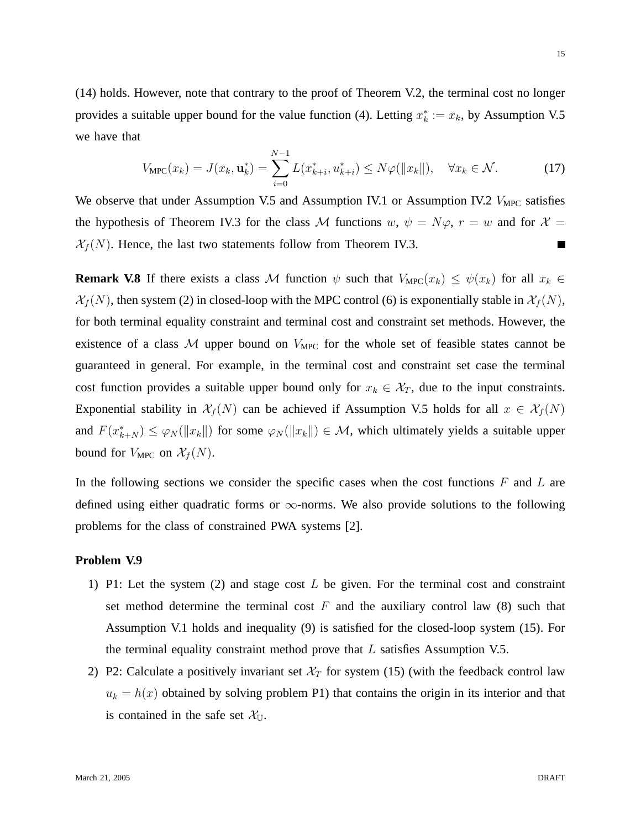(14) holds. However, note that contrary to the proof of Theorem V.2, the terminal cost no longer provides a suitable upper bound for the value function (4). Letting  $x_k^* := x_k$ , by Assumption V.5 we have that

$$
V_{\text{MPC}}(x_k) = J(x_k, \mathbf{u}_k^*) = \sum_{i=0}^{N-1} L(x_{k+i}^*, u_{k+i}^*) \le N\varphi(||x_k||), \quad \forall x_k \in \mathcal{N}.
$$
 (17)

We observe that under Assumption V.5 and Assumption IV.1 or Assumption IV.2  $V_{\text{MPC}}$  satisfies the hypothesis of Theorem IV.3 for the class M functions w,  $\psi = N\varphi$ ,  $r = w$  and for  $\mathcal{X} =$  $\mathcal{X}_f(N)$ . Hence, the last two statements follow from Theorem IV.3.  $\blacksquare$ 

**Remark V.8** If there exists a class M function  $\psi$  such that  $V_{\text{MPC}}(x_k) \leq \psi(x_k)$  for all  $x_k \in$  $\mathcal{X}_f(N)$ , then system (2) in closed-loop with the MPC control (6) is exponentially stable in  $\mathcal{X}_f(N)$ , for both terminal equality constraint and terminal cost and constraint set methods. However, the existence of a class  $M$  upper bound on  $V_{\text{MPC}}$  for the whole set of feasible states cannot be guaranteed in general. For example, in the terminal cost and constraint set case the terminal cost function provides a suitable upper bound only for  $x_k \in \mathcal{X}_T$ , due to the input constraints. Exponential stability in  $\mathcal{X}_f(N)$  can be achieved if Assumption V.5 holds for all  $x \in \mathcal{X}_f(N)$ and  $F(x_{k+N}^*) \leq \varphi_N(\|x_k\|)$  for some  $\varphi_N(\|x_k\|) \in \mathcal{M}$ , which ultimately yields a suitable upper bound for  $V_{\text{MPC}}$  on  $\mathcal{X}_f(N)$ .

In the following sections we consider the specific cases when the cost functions  $F$  and  $L$  are defined using either quadratic forms or  $\infty$ -norms. We also provide solutions to the following problems for the class of constrained PWA systems [2].

## **Problem V.9**

- 1) P1: Let the system  $(2)$  and stage cost L be given. For the terminal cost and constraint set method determine the terminal cost  $F$  and the auxiliary control law (8) such that Assumption V.1 holds and inequality (9) is satisfied for the closed-loop system (15). For the terminal equality constraint method prove that  $L$  satisfies Assumption V.5.
- 2) P2: Calculate a positively invariant set  $\mathcal{X}_T$  for system (15) (with the feedback control law  $u_k = h(x)$  obtained by solving problem P1) that contains the origin in its interior and that is contained in the safe set  $\mathcal{X}_{\mathbb{U}}$ .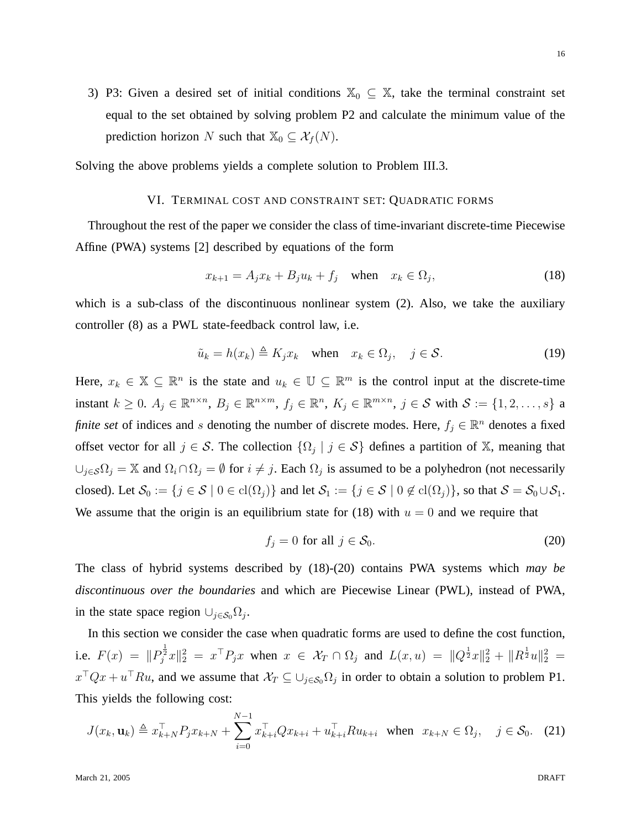3) P3: Given a desired set of initial conditions  $\mathbb{X}_0 \subseteq \mathbb{X}$ , take the terminal constraint set equal to the set obtained by solving problem P2 and calculate the minimum value of the prediction horizon N such that  $\mathbb{X}_0 \subseteq \mathcal{X}_f(N)$ .

Solving the above problems yields a complete solution to Problem III.3.

## VI. TERMINAL COST AND CONSTRAINT SET: QUADRATIC FORMS

Throughout the rest of the paper we consider the class of time-invariant discrete-time Piecewise Affine (PWA) systems [2] described by equations of the form

$$
x_{k+1} = A_j x_k + B_j u_k + f_j \quad \text{when} \quad x_k \in \Omega_j,\tag{18}
$$

which is a sub-class of the discontinuous nonlinear system (2). Also, we take the auxiliary controller (8) as a PWL state-feedback control law, i.e.

$$
\tilde{u}_k = h(x_k) \triangleq K_j x_k \quad \text{when} \quad x_k \in \Omega_j, \quad j \in \mathcal{S}.
$$
\n(19)

Here,  $x_k \in \mathbb{X} \subseteq \mathbb{R}^n$  is the state and  $u_k \in \mathbb{U} \subseteq \mathbb{R}^m$  is the control input at the discrete-time instant  $k \geq 0$ .  $A_j \in \mathbb{R}^{n \times n}$ ,  $B_j \in \mathbb{R}^{n \times m}$ ,  $f_j \in \mathbb{R}^n$ ,  $K_j \in \mathbb{R}^{m \times n}$ ,  $j \in S$  with  $S := \{1, 2, \ldots, s\}$  a *finite set* of indices and s denoting the number of discrete modes. Here,  $f_j \in \mathbb{R}^n$  denotes a fixed offset vector for all  $j \in S$ . The collection  $\{\Omega_j \mid j \in S\}$  defines a partition of X, meaning that  $\bigcup_{j \in \mathcal{S}} \Omega_j = \mathbb{X}$  and  $\Omega_i \cap \Omega_j = \emptyset$  for  $i \neq j$ . Each  $\Omega_j$  is assumed to be a polyhedron (not necessarily closed). Let  $\mathcal{S}_0 := \{j \in \mathcal{S} \mid 0 \in \text{cl}(\Omega_j)\}\$ and let  $\mathcal{S}_1 := \{j \in \mathcal{S} \mid 0 \notin \text{cl}(\Omega_j)\}\$ , so that  $\mathcal{S} = \mathcal{S}_0 \cup \mathcal{S}_1$ . We assume that the origin is an equilibrium state for (18) with  $u = 0$  and we require that

$$
f_j = 0 \text{ for all } j \in \mathcal{S}_0. \tag{20}
$$

The class of hybrid systems described by (18)-(20) contains PWA systems which *may be discontinuous over the boundaries* and which are Piecewise Linear (PWL), instead of PWA, in the state space region  $\cup_{j \in \mathcal{S}_0} \Omega_j$ .

In this section we consider the case when quadratic forms are used to define the cost function, i.e.  $F(x) = ||P_j^{\frac{1}{2}}x||_2^2 = x^{\top}P_jx$  when  $x \in \mathcal{X}_T \cap \Omega_j$  and  $L(x, u) = ||Q^{\frac{1}{2}}x||_2^2 + ||R^{\frac{1}{2}}u||_2^2 =$  $x^{\top}Qx + u^{\top}Ru$ , and we assume that  $\mathcal{X}_T \subseteq \cup_{j \in \mathcal{S}_0} \Omega_j$  in order to obtain a solution to problem P1. This yields the following cost:

$$
J(x_k, \mathbf{u}_k) \triangleq x_{k+N}^\top P_j x_{k+N} + \sum_{i=0}^{N-1} x_{k+i}^\top Q x_{k+i} + u_{k+i}^\top R u_{k+i} \quad \text{when} \quad x_{k+N} \in \Omega_j, \quad j \in \mathcal{S}_0. \tag{21}
$$

16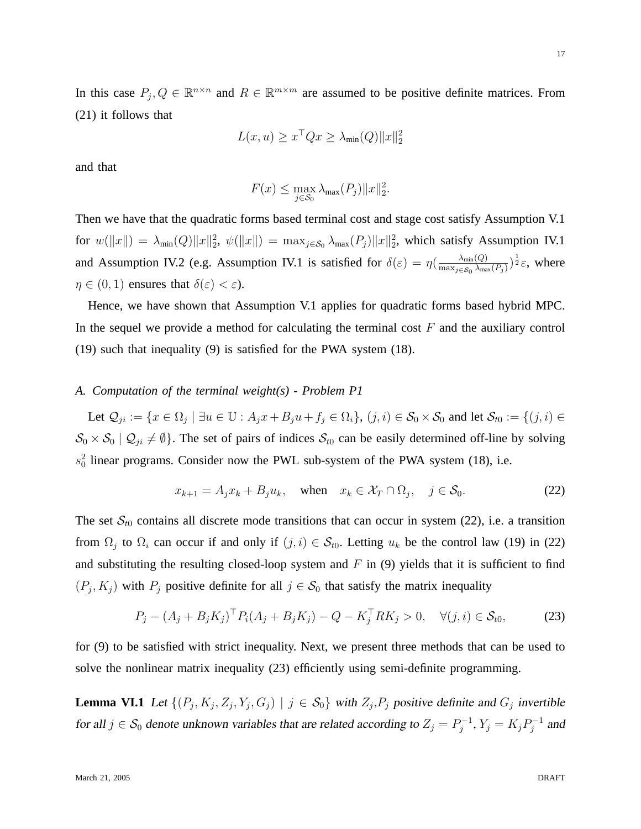In this case  $P_j, Q \in \mathbb{R}^{n \times n}$  and  $R \in \mathbb{R}^{m \times m}$  are assumed to be positive definite matrices. From (21) it follows that

$$
L(x, u) \ge x^\top Q x \ge \lambda_{\min}(Q) \|x\|_2^2
$$

and that

$$
F(x) \le \max_{j \in \mathcal{S}_0} \lambda_{\max}(P_j) \|x\|_2^2.
$$

Then we have that the quadratic forms based terminal cost and stage cost satisfy Assumption V.1 for  $w(\|x\|) = \lambda_{\min}(Q) \|x\|_2^2$ ,  $\psi(\|x\|) = \max_{j \in S_0} \lambda_{\max}(P_j) \|x\|_2^2$ , which satisfy Assumption IV.1 and Assumption IV.2 (e.g. Assumption IV.1 is satisfied for  $\delta(\varepsilon) = \eta(\frac{\lambda_{\min}(Q)}{\max(\varepsilon, \lambda_{\min}(Q))})$  $\frac{\lambda_{\min}(Q)}{\max_{j\in\mathcal{S}_0}\lambda_{\max}(P_j)}$ ) $\frac{1}{2}\varepsilon$ , where  $\eta \in (0, 1)$  ensures that  $\delta(\varepsilon) < \varepsilon$ ).

Hence, we have shown that Assumption V.1 applies for quadratic forms based hybrid MPC. In the sequel we provide a method for calculating the terminal cost  $F$  and the auxiliary control (19) such that inequality (9) is satisfied for the PWA system (18).

## *A. Computation of the terminal weight(s) - Problem P1*

Let  $\mathcal{Q}_{ji} := \{x \in \Omega_j \mid \exists u \in \mathbb{U} : A_j x + B_j u + f_j \in \Omega_i\}, (j, i) \in \mathcal{S}_0 \times \mathcal{S}_0$  and let  $\mathcal{S}_{t0} := \{(j, i) \in \Omega_j \mid \exists u \in \mathbb{U} : A_j x + B_j u + f_j \in \Omega_i\}$  $S_0 \times S_0 \mid Q_{ji} \neq \emptyset$ . The set of pairs of indices  $S_{t0}$  can be easily determined off-line by solving  $s_0^2$  linear programs. Consider now the PWL sub-system of the PWA system (18), i.e.

$$
x_{k+1} = A_j x_k + B_j u_k, \quad \text{when} \quad x_k \in \mathcal{X}_T \cap \Omega_j, \quad j \in \mathcal{S}_0. \tag{22}
$$

The set  $S_{t0}$  contains all discrete mode transitions that can occur in system (22), i.e. a transition from  $\Omega_j$  to  $\Omega_i$  can occur if and only if  $(j, i) \in S_{t0}$ . Letting  $u_k$  be the control law (19) in (22) and substituting the resulting closed-loop system and  $F$  in (9) yields that it is sufficient to find  $(P_j, K_j)$  with  $P_j$  positive definite for all  $j \in S_0$  that satisfy the matrix inequality

$$
P_j - (A_j + B_j K_j)^{\top} P_i (A_j + B_j K_j) - Q - K_j^{\top} R K_j > 0, \quad \forall (j, i) \in S_{t0},
$$
 (23)

for (9) to be satisfied with strict inequality. Next, we present three methods that can be used to solve the nonlinear matrix inequality (23) efficiently using semi-definite programming.

**Lemma VI.1** Let  $\{(P_j, K_j, Z_j, Y_j, G_j) \mid j \in S_0\}$  with  $Z_j, P_j$  positive definite and  $G_j$  invertible for all  $j \in \mathcal{S}_0$  denote unknown variables that are related according to  $Z_j = P_j^{-1}$  $j^{-1}, Y_j = K_j P_j^{-1}$  $j^{-1}$  and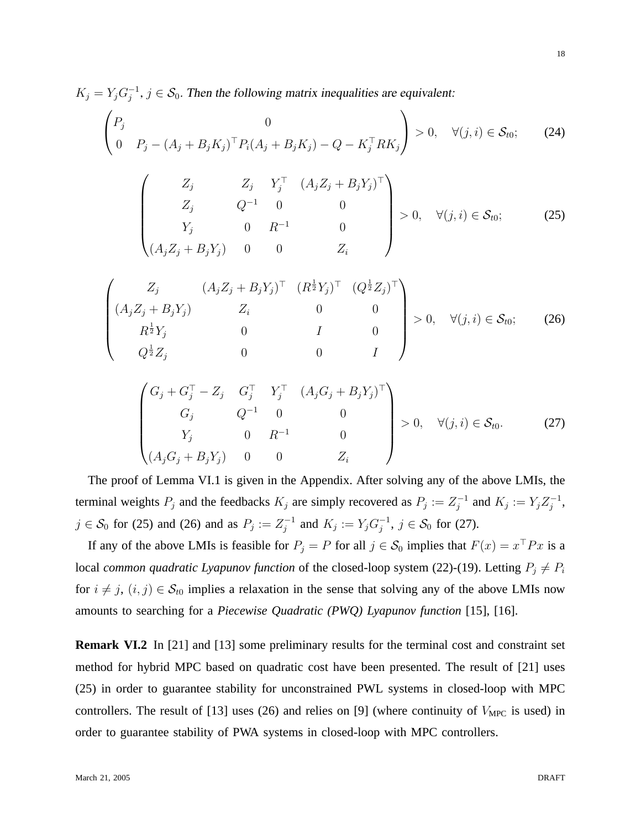$K_j = Y_j G_i^{-1}$  $j^{-1}, j \in S_0$ . Then the following matrix inequalities are equivalent:

$$
\begin{pmatrix} P_j & 0 \ 0 & P_j - (A_j + B_j K_j)^{\top} P_i (A_j + B_j K_j) - Q - K_j^{\top} R K_j \end{pmatrix} > 0, \quad \forall (j, i) \in S_{t0};
$$
 (24)

$$
\begin{pmatrix}\nZ_j & Z_j & Y_j^{\top} & (A_j Z_j + B_j Y_j)^{\top} \\
Z_j & Q^{-1} & 0 & 0 \\
Y_j & 0 & R^{-1} & 0 \\
(A_j Z_j + B_j Y_j) & 0 & 0 & Z_i\n\end{pmatrix} > 0, \quad \forall (j, i) \in S_{t0};
$$
\n(25)

$$
\begin{pmatrix}\nZ_j & (A_j Z_j + B_j Y_j)^T & (R^{\frac{1}{2}} Y_j)^T & (Q^{\frac{1}{2}} Z_j)^T \\
(A_j Z_j + B_j Y_j) & Z_i & 0 & 0 \\
R^{\frac{1}{2}} Y_j & 0 & I & 0 \\
Q^{\frac{1}{2}} Z_j & 0 & 0 & I\n\end{pmatrix} > 0, \quad \forall (j, i) \in S_{t0};
$$
\n(26)

$$
\begin{pmatrix} G_j + G_j^{\top} - Z_j & G_j^{\top} & Y_j^{\top} & (A_j G_j + B_j Y_j)^{\top} \\ G_j & Q^{-1} & 0 & 0 \\ Y_j & 0 & R^{-1} & 0 \\ (A_j G_j + B_j Y_j) & 0 & 0 & Z_i \end{pmatrix} > 0, \quad \forall (j, i) \in S_{t0}.
$$
 (27)

The proof of Lemma VI.1 is given in the Appendix. After solving any of the above LMIs, the terminal weights  $P_j$  and the feedbacks  $K_j$  are simply recovered as  $P_j := Z_j^{-1}$  $j^{-1}$  and  $K_j := Y_j Z_j^{-1}$  $_j^{-1},$  $j \in \mathcal{S}_0$  for (25) and (26) and as  $P_j := Z_j^{-1}$  $j^{-1}$  and  $K_j := Y_j G_j^{-1}$  $j^{-1}, j \in \mathcal{S}_0$  for (27).

If any of the above LMIs is feasible for  $P_j = P$  for all  $j \in S_0$  implies that  $F(x) = x^{\top} P x$  is a local *common quadratic Lyapunov function* of the closed-loop system (22)-(19). Letting  $P_j \neq P_i$ for  $i \neq j$ ,  $(i, j) \in S_{t0}$  implies a relaxation in the sense that solving any of the above LMIs now amounts to searching for a *Piecewise Quadratic (PWQ) Lyapunov function* [15], [16].

**Remark VI.2** In [21] and [13] some preliminary results for the terminal cost and constraint set method for hybrid MPC based on quadratic cost have been presented. The result of [21] uses (25) in order to guarantee stability for unconstrained PWL systems in closed-loop with MPC controllers. The result of [13] uses (26) and relies on [9] (where continuity of  $V_{\text{MPC}}$  is used) in order to guarantee stability of PWA systems in closed-loop with MPC controllers.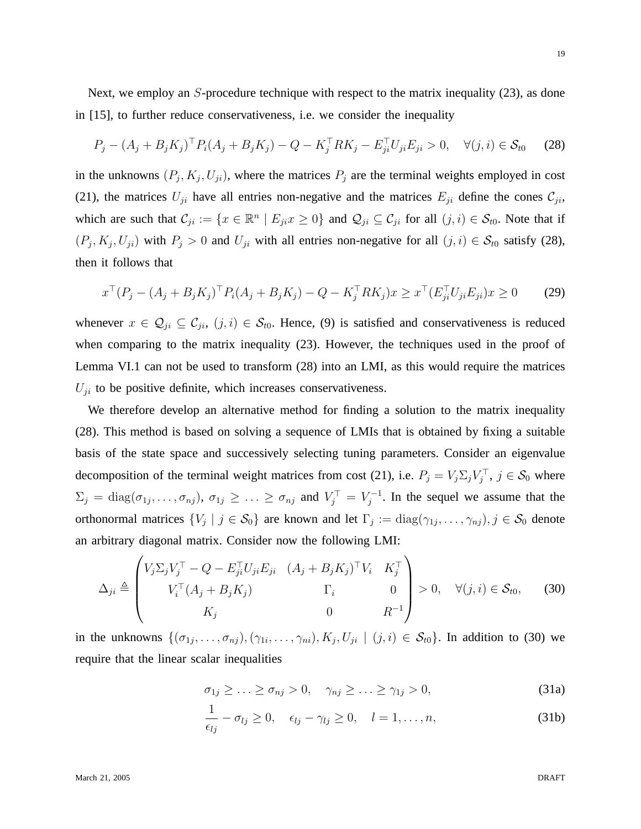Next, we employ an S-procedure technique with respect to the matrix inequality (23), as done in [15], to further reduce conservativeness, i.e. we consider the inequality

$$
P_j - (A_j + B_j K_j)^{\top} P_i (A_j + B_j K_j) - Q - K_j^{\top} R K_j - E_{ji}^{\top} U_{ji} E_{ji} > 0, \quad \forall (j, i) \in S_{t0} \tag{28}
$$

in the unknowns  $(P_j, K_j, U_{ji})$ , where the matrices  $P_j$  are the terminal weights employed in cost (21), the matrices  $U_{ji}$  have all entries non-negative and the matrices  $E_{ji}$  define the cones  $C_{ji}$ , which are such that  $\mathcal{C}_{ji} := \{x \in \mathbb{R}^n \mid E_{ji} x \geq 0\}$  and  $\mathcal{Q}_{ji} \subseteq \mathcal{C}_{ji}$  for all  $(j, i) \in \mathcal{S}_{t0}$ . Note that if  $(P_j, K_j, U_{ji})$  with  $P_j > 0$  and  $U_{ji}$  with all entries non-negative for all  $(j, i) \in S_{t0}$  satisfy (28), then it follows that

$$
x^{\top} (P_j - (A_j + B_j K_j)^{\top} P_i (A_j + B_j K_j) - Q - K_j^{\top} R K_j) x \ge x^{\top} (E_{ji}^{\top} U_{ji} E_{ji}) x \ge 0
$$
 (29)

whenever  $x \in \mathcal{Q}_{ji} \subseteq \mathcal{C}_{ji}$ ,  $(j, i) \in \mathcal{S}_{t0}$ . Hence, (9) is satisfied and conservativeness is reduced when comparing to the matrix inequality (23). However, the techniques used in the proof of Lemma VI.1 can not be used to transform (28) into an LMI, as this would require the matrices  $U_{ji}$  to be positive definite, which increases conservativeness.

We therefore develop an alternative method for finding a solution to the matrix inequality (28). This method is based on solving a sequence of LMIs that is obtained by fixing a suitable basis of the state space and successively selecting tuning parameters. Consider an eigenvalue decomposition of the terminal weight matrices from cost (21), i.e.  $P_j = V_j \Sigma_j V_j^{\top}$ ,  $j \in S_0$  where  $\Sigma_j = \text{diag}(\sigma_{1j}, \dots, \sigma_{nj}), \ \sigma_{1j} \geq \dots \geq \sigma_{nj} \text{ and } V_j^{\top} = V_j^{-1}$  $j^{-1}$ . In the sequel we assume that the orthonormal matrices  $\{V_j \mid j \in S_0\}$  are known and let  $\Gamma_j := \text{diag}(\gamma_{1j}, \dots, \gamma_{nj}), j \in S_0$  denote an arbitrary diagonal matrix. Consider now the following LMI:

$$
\Delta_{ji} \triangleq \begin{pmatrix} V_j \Sigma_j V_j^\top - Q - E_{ji}^\top U_{ji} E_{ji} & (A_j + B_j K_j)^\top V_i & K_j^\top \\ V_i^\top (A_j + B_j K_j) & \Gamma_i & 0 \\ K_j & 0 & R^{-1} \end{pmatrix} > 0, \quad \forall (j, i) \in \mathcal{S}_{t0}, \tag{30}
$$

in the unknowns  $\{(\sigma_{1j},\ldots,\sigma_{nj}),(\gamma_{1i},\ldots,\gamma_{ni}),K_j,U_{ji}\mid (j,i)\in S_{t0}\}.$  In addition to (30) we require that the linear scalar inequalities

$$
\sigma_{1j} \geq \ldots \geq \sigma_{nj} > 0, \quad \gamma_{nj} \geq \ldots \geq \gamma_{1j} > 0,
$$
\n(31a)

$$
\frac{1}{\epsilon_{lj}} - \sigma_{lj} \ge 0, \quad \epsilon_{lj} - \gamma_{lj} \ge 0, \quad l = 1, \dots, n,
$$
\n(31b)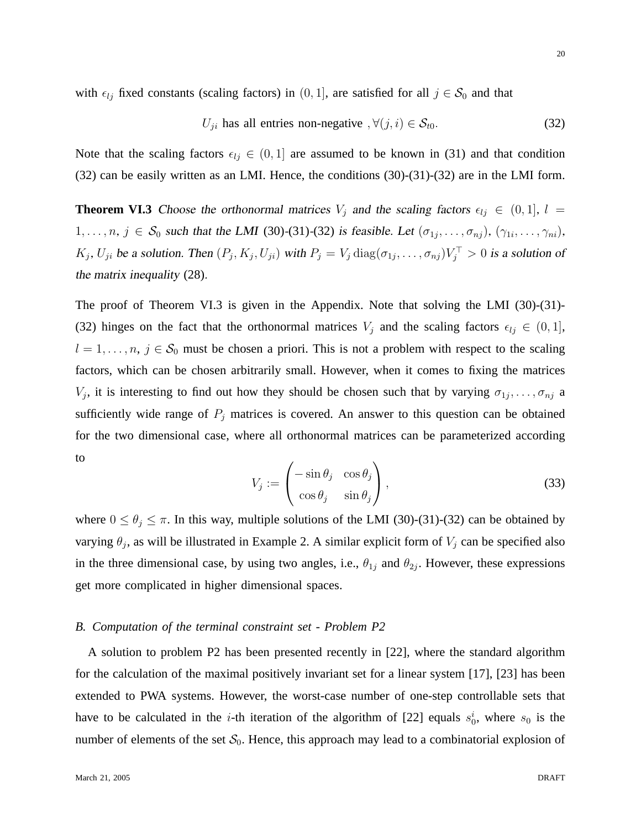with  $\epsilon_{lj}$  fixed constants (scaling factors) in (0, 1], are satisfied for all  $j \in S_0$  and that

$$
U_{ji} \text{ has all entries non-negative }, \forall (j, i) \in S_{t0}. \tag{32}
$$

Note that the scaling factors  $\epsilon_{lj} \in (0, 1]$  are assumed to be known in (31) and that condition (32) can be easily written as an LMI. Hence, the conditions (30)-(31)-(32) are in the LMI form.

**Theorem VI.3** Choose the orthonormal matrices  $V_j$  and the scaling factors  $\epsilon_{lj} \in (0, 1], l =$  $1, \ldots, n, j \in S_0$  such that the LMI (30)-(31)-(32) is feasible. Let  $(\sigma_{1j}, \ldots, \sigma_{nj}), (\gamma_{1i}, \ldots, \gamma_{ni}),$  $K_j$ ,  $U_{ji}$  be a solution. Then  $(P_j, K_j, U_{ji})$  with  $P_j = V_j \text{diag}(\sigma_{1j}, \dots, \sigma_{nj}) V_j^{\top} > 0$  is a solution of the matrix inequality (28).

The proof of Theorem VI.3 is given in the Appendix. Note that solving the LMI (30)-(31)- (32) hinges on the fact that the orthonormal matrices  $V_i$  and the scaling factors  $\epsilon_{lj} \in (0, 1]$ ,  $l = 1, \ldots, n, j \in S_0$  must be chosen a priori. This is not a problem with respect to the scaling factors, which can be chosen arbitrarily small. However, when it comes to fixing the matrices  $V_j$ , it is interesting to find out how they should be chosen such that by varying  $\sigma_{1j}, \ldots, \sigma_{nj}$  a sufficiently wide range of  $P_i$  matrices is covered. An answer to this question can be obtained for the two dimensional case, where all orthonormal matrices can be parameterized according to

$$
V_j := \begin{pmatrix} -\sin \theta_j & \cos \theta_j \\ \cos \theta_j & \sin \theta_j \end{pmatrix},
$$
 (33)

where  $0 \le \theta_j \le \pi$ . In this way, multiple solutions of the LMI (30)-(31)-(32) can be obtained by varying  $\theta_j$ , as will be illustrated in Example 2. A similar explicit form of  $V_j$  can be specified also in the three dimensional case, by using two angles, i.e.,  $\theta_{1j}$  and  $\theta_{2j}$ . However, these expressions get more complicated in higher dimensional spaces.

## *B. Computation of the terminal constraint set - Problem P2*

A solution to problem P2 has been presented recently in [22], where the standard algorithm for the calculation of the maximal positively invariant set for a linear system [17], [23] has been extended to PWA systems. However, the worst-case number of one-step controllable sets that have to be calculated in the *i*-th iteration of the algorithm of [22] equals  $s_0^i$ , where  $s_0$  is the number of elements of the set  $S_0$ . Hence, this approach may lead to a combinatorial explosion of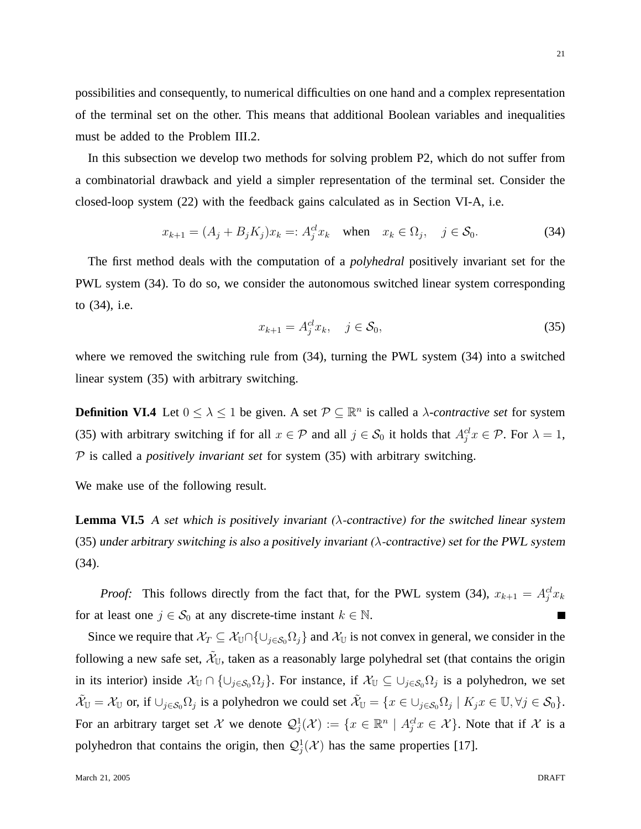possibilities and consequently, to numerical difficulties on one hand and a complex representation of the terminal set on the other. This means that additional Boolean variables and inequalities must be added to the Problem III.2.

In this subsection we develop two methods for solving problem P2, which do not suffer from a combinatorial drawback and yield a simpler representation of the terminal set. Consider the closed-loop system (22) with the feedback gains calculated as in Section VI-A, i.e.

$$
x_{k+1} = (A_j + B_j K_j)x_k =: A_j^{cl} x_k \quad \text{when} \quad x_k \in \Omega_j, \quad j \in \mathcal{S}_0. \tag{34}
$$

The first method deals with the computation of a *polyhedral* positively invariant set for the PWL system (34). To do so, we consider the autonomous switched linear system corresponding to (34), i.e.

$$
x_{k+1} = A_j^{cl} x_k, \quad j \in \mathcal{S}_0,\tag{35}
$$

where we removed the switching rule from (34), turning the PWL system (34) into a switched linear system (35) with arbitrary switching.

**Definition VI.4** Let  $0 \leq \lambda \leq 1$  be given. A set  $\mathcal{P} \subseteq \mathbb{R}^n$  is called a *λ-contractive set* for system (35) with arbitrary switching if for all  $x \in \mathcal{P}$  and all  $j \in \mathcal{S}_0$  it holds that  $A_j^{cl}x \in \mathcal{P}$ . For  $\lambda = 1$ , P is called a *positively invariant set* for system (35) with arbitrary switching.

We make use of the following result.

**Lemma VI.5** A set which is positively invariant ( $\lambda$ -contractive) for the switched linear system (35) under arbitrary switching is also a positively invariant ( $\lambda$ -contractive) set for the PWL system (34).

*Proof:* This follows directly from the fact that, for the PWL system (34),  $x_{k+1} = A_j^d x_k$ for at least one  $j \in S_0$  at any discrete-time instant  $k \in \mathbb{N}$ .

Since we require that  $\mathcal{X}_T \subseteq \mathcal{X}_{\mathbb{U}} \cap \{\cup_{j \in \mathcal{S}_0} \Omega_j\}$  and  $\mathcal{X}_{\mathbb{U}}$  is not convex in general, we consider in the following a new safe set,  $\tilde{\mathcal{X}}_\mathbb{U}$ , taken as a reasonably large polyhedral set (that contains the origin in its interior) inside  $\mathcal{X}_{\mathbb{U}} \cap \{\cup_{j \in \mathcal{S}_0} \Omega_j\}$ . For instance, if  $\mathcal{X}_{\mathbb{U}} \subseteq \cup_{j \in \mathcal{S}_0} \Omega_j$  is a polyhedron, we set  $\tilde{\mathcal{X}}_{\mathbb{U}} = \mathcal{X}_{\mathbb{U}}$  or, if  $\cup_{j \in \mathcal{S}_0} \Omega_j$  is a polyhedron we could set  $\tilde{\mathcal{X}}_{\mathbb{U}} = \{x \in \cup_{j \in \mathcal{S}_0} \Omega_j \mid K_j x \in \mathbb{U}, \forall j \in \mathcal{S}_0\}.$ For an arbitrary target set X we denote  $\mathcal{Q}_j^1(\mathcal{X}) := \{x \in \mathbb{R}^n \mid A_j^{\{cl}}x \in \mathcal{X}\}\.$  Note that if X is a polyhedron that contains the origin, then  $\mathcal{Q}_j^1(\mathcal{X})$  has the same properties [17].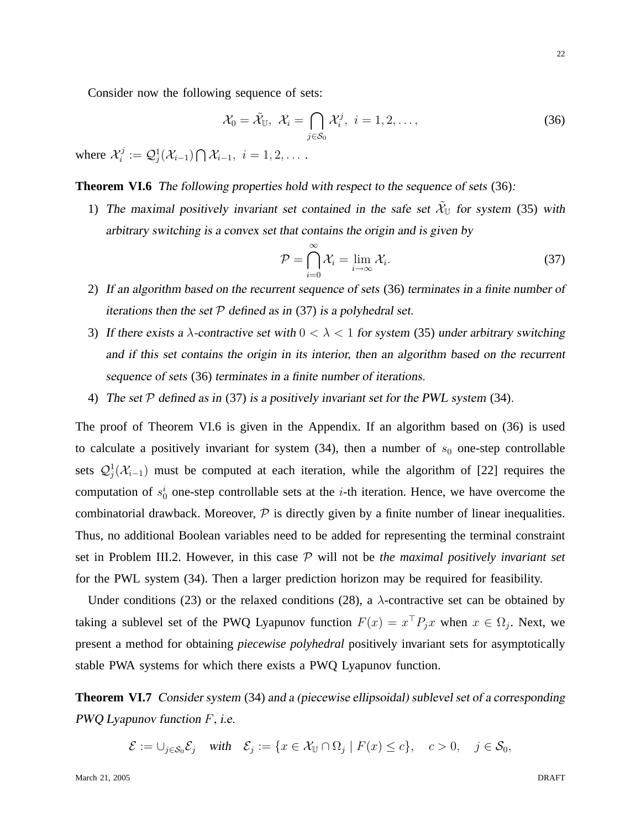Consider now the following sequence of sets:

$$
\mathcal{X}_0 = \tilde{\mathcal{X}}_{\mathbb{U}}, \ \mathcal{X}_i = \bigcap_{j \in \mathcal{S}_0} \mathcal{X}_i^j, \ i = 1, 2, \dots,
$$
\n(36)

where  $\mathcal{X}_i^j$  $\mathcal{Q}_i^j := \mathcal{Q}_j^1(\mathcal{X}_{i-1}) \bigcap \mathcal{X}_{i-1}, \,\, i=1,2,\ldots\,.$ 

**Theorem VI.6** The following properties hold with respect to the sequence of sets (36):

1) The maximal positively invariant set contained in the safe set  $\tilde{\mathcal{X}}_{U}$  for system (35) with arbitrary switching is a convex set that contains the origin and is given by

$$
\mathcal{P} = \bigcap_{i=0}^{\infty} \mathcal{X}_i = \lim_{i \to \infty} \mathcal{X}_i.
$$
\n(37)

- 2) If an algorithm based on the recurrent sequence of sets (36) terminates in a finite number of iterations then the set  $P$  defined as in (37) is a polyhedral set.
- 3) If there exists a  $\lambda$ -contractive set with  $0 < \lambda < 1$  for system (35) under arbitrary switching and if this set contains the origin in its interior, then an algorithm based on the recurrent sequence of sets (36) terminates in a finite number of iterations.
- 4) The set  $P$  defined as in (37) is a positively invariant set for the PWL system (34).

The proof of Theorem VI.6 is given in the Appendix. If an algorithm based on (36) is used to calculate a positively invariant for system  $(34)$ , then a number of  $s_0$  one-step controllable sets  $\mathcal{Q}_{j}^{1}(\mathcal{X}_{i-1})$  must be computed at each iteration, while the algorithm of [22] requires the computation of  $s_0^i$  one-step controllable sets at the *i*-th iteration. Hence, we have overcome the combinatorial drawback. Moreover,  $P$  is directly given by a finite number of linear inequalities. Thus, no additional Boolean variables need to be added for representing the terminal constraint set in Problem III.2. However, in this case P will not be *the maximal positively invariant set* for the PWL system (34). Then a larger prediction horizon may be required for feasibility.

Under conditions (23) or the relaxed conditions (28), a  $\lambda$ -contractive set can be obtained by taking a sublevel set of the PWQ Lyapunov function  $F(x) = x^{\top} P_j x$  when  $x \in \Omega_j$ . Next, we present a method for obtaining *piecewise polyhedral* positively invariant sets for asymptotically stable PWA systems for which there exists a PWQ Lyapunov function.

**Theorem VI.7** Consider system (34) and a (piecewise ellipsoidal) sublevel set of a corresponding PWQ Lyapunov function F, i.e.

 $\mathcal{E} := \cup_{j \in \mathcal{S}_0} \mathcal{E}_j$  with  $\mathcal{E}_j := \{x \in \mathcal{X}_{\mathbb{U}} \cap \Omega_j \mid F(x) \le c\}, \quad c > 0, \quad j \in \mathcal{S}_0$ ,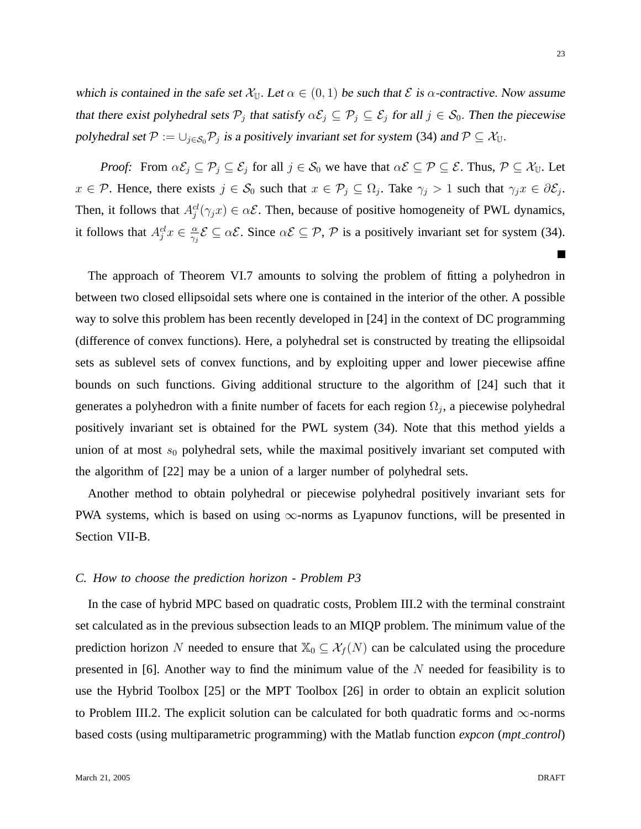which is contained in the safe set  $\mathcal{X}_{\mathbb{U}}$ . Let  $\alpha \in (0,1)$  be such that  $\mathcal{E}$  is  $\alpha$ -contractive. Now assume that there exist polyhedral sets  $P_j$  that satisfy  $\alpha \mathcal{E}_j \subseteq P_j \subseteq \mathcal{E}_j$  for all  $j \in \mathcal{S}_0$ . Then the piecewise polyhedral set  $\mathcal{P} := \cup_{j \in \mathcal{S}_0} \mathcal{P}_j$  is a positively invariant set for system (34) and  $\mathcal{P} \subseteq \mathcal{X}_{\mathbb{U}}$ .

*Proof:* From  $\alpha \mathcal{E}_j \subseteq \mathcal{P}_j \subseteq \mathcal{E}_j$  for all  $j \in \mathcal{S}_0$  we have that  $\alpha \mathcal{E} \subseteq \mathcal{P} \subseteq \mathcal{E}$ . Thus,  $\mathcal{P} \subseteq \mathcal{X}_{\mathbb{U}}$ . Let  $x \in \mathcal{P}$ . Hence, there exists  $j \in \mathcal{S}_0$  such that  $x \in \mathcal{P}_j \subseteq \Omega_j$ . Take  $\gamma_j > 1$  such that  $\gamma_j x \in \partial \mathcal{E}_j$ . Then, it follows that  $A_j^{cl}(\gamma_j x) \in \alpha \mathcal{E}$ . Then, because of positive homogeneity of PWL dynamics, it follows that  $A_j^{cl}x \in \frac{\alpha}{\gamma_i}$  $\frac{\alpha}{\gamma_j} \mathcal{E} \subseteq \alpha \mathcal{E}$ . Since  $\alpha \mathcal{E} \subseteq \mathcal{P}$ ,  $\mathcal{P}$  is a positively invariant set for system (34).

The approach of Theorem VI.7 amounts to solving the problem of fitting a polyhedron in between two closed ellipsoidal sets where one is contained in the interior of the other. A possible way to solve this problem has been recently developed in [24] in the context of DC programming (difference of convex functions). Here, a polyhedral set is constructed by treating the ellipsoidal sets as sublevel sets of convex functions, and by exploiting upper and lower piecewise affine bounds on such functions. Giving additional structure to the algorithm of [24] such that it generates a polyhedron with a finite number of facets for each region  $\Omega_j$ , a piecewise polyhedral positively invariant set is obtained for the PWL system (34). Note that this method yields a union of at most  $s_0$  polyhedral sets, while the maximal positively invariant set computed with the algorithm of [22] may be a union of a larger number of polyhedral sets.

Another method to obtain polyhedral or piecewise polyhedral positively invariant sets for PWA systems, which is based on using  $\infty$ -norms as Lyapunov functions, will be presented in Section VII-B.

## *C. How to choose the prediction horizon - Problem P3*

In the case of hybrid MPC based on quadratic costs, Problem III.2 with the terminal constraint set calculated as in the previous subsection leads to an MIQP problem. The minimum value of the prediction horizon N needed to ensure that  $\mathbb{X}_0 \subseteq \mathcal{X}_f(N)$  can be calculated using the procedure presented in [6]. Another way to find the minimum value of the  $N$  needed for feasibility is to use the Hybrid Toolbox [25] or the MPT Toolbox [26] in order to obtain an explicit solution to Problem III.2. The explicit solution can be calculated for both quadratic forms and  $\infty$ -norms based costs (using multiparametric programming) with the Matlab function *expcon* (*mpt control*)

 $\blacksquare$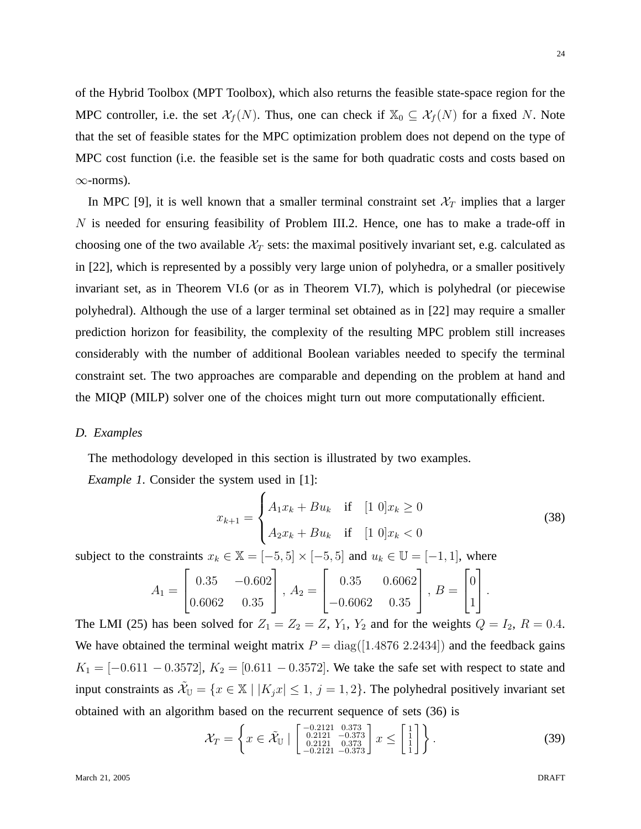of the Hybrid Toolbox (MPT Toolbox), which also returns the feasible state-space region for the MPC controller, i.e. the set  $\mathcal{X}_f(N)$ . Thus, one can check if  $\mathbb{X}_0 \subseteq \mathcal{X}_f(N)$  for a fixed N. Note that the set of feasible states for the MPC optimization problem does not depend on the type of MPC cost function (i.e. the feasible set is the same for both quadratic costs and costs based on  $\infty$ -norms).

In MPC [9], it is well known that a smaller terminal constraint set  $\mathcal{X}_T$  implies that a larger N is needed for ensuring feasibility of Problem III.2. Hence, one has to make a trade-off in choosing one of the two available  $\mathcal{X}_T$  sets: the maximal positively invariant set, e.g. calculated as in [22], which is represented by a possibly very large union of polyhedra, or a smaller positively invariant set, as in Theorem VI.6 (or as in Theorem VI.7), which is polyhedral (or piecewise polyhedral). Although the use of a larger terminal set obtained as in [22] may require a smaller prediction horizon for feasibility, the complexity of the resulting MPC problem still increases considerably with the number of additional Boolean variables needed to specify the terminal constraint set. The two approaches are comparable and depending on the problem at hand and the MIQP (MILP) solver one of the choices might turn out more computationally efficient.

## *D. Examples*

The methodology developed in this section is illustrated by two examples.

*Example 1*. Consider the system used in [1]:

$$
x_{k+1} = \begin{cases} A_1 x_k + B u_k & \text{if } [1 \ 0] x_k \ge 0 \\ A_2 x_k + B u_k & \text{if } [1 \ 0] x_k < 0 \end{cases}
$$
 (38)

subject to the constraints  $x_k \in \mathbb{X} = [-5, 5] \times [-5, 5]$  and  $u_k \in \mathbb{U} = [-1, 1]$ , where

$$
A_1 = \begin{bmatrix} 0.35 & -0.602 \\ 0.6062 & 0.35 \end{bmatrix}, A_2 = \begin{bmatrix} 0.35 & 0.6062 \\ -0.6062 & 0.35 \end{bmatrix}, B = \begin{bmatrix} 0 \\ 1 \end{bmatrix}.
$$

The LMI (25) has been solved for  $Z_1 = Z_2 = Z$ ,  $Y_1$ ,  $Y_2$  and for the weights  $Q = I_2$ ,  $R = 0.4$ . We have obtained the terminal weight matrix  $P = diag([1.4876 \ 2.2434])$  and the feedback gains  $K_1 = [-0.611 - 0.3572], K_2 = [0.611 - 0.3572].$  We take the safe set with respect to state and input constraints as  $\mathcal{X}_{\mathbb{U}} = \{x \in \mathbb{X} \mid |K_j x| \leq 1, j = 1, 2\}$ . The polyhedral positively invariant set obtained with an algorithm based on the recurrent sequence of sets (36) is

$$
\mathcal{X}_T = \left\{ x \in \tilde{\mathcal{X}}_{\mathbb{U}} \mid \begin{bmatrix} -0.2121 & 0.373 \\ 0.2121 & -0.373 \\ 0.2121 & 0.373 \\ -0.2121 & -0.373 \end{bmatrix} x \le \begin{bmatrix} 1 \\ 1 \\ 1 \end{bmatrix} \right\}.
$$
 (39)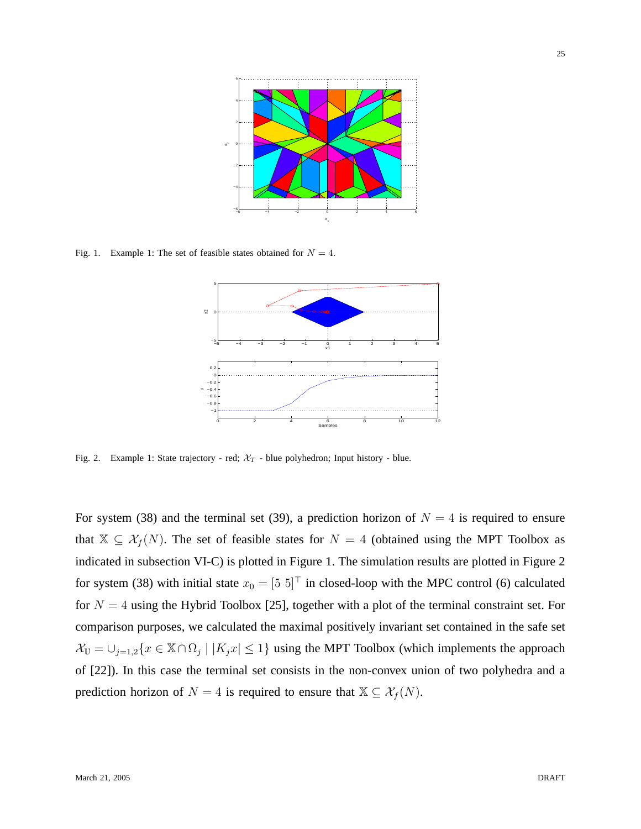

Fig. 1. Example 1: The set of feasible states obtained for  $N = 4$ .



Fig. 2. Example 1: State trajectory - red;  $\mathcal{X}_T$  - blue polyhedron; Input history - blue.

For system (38) and the terminal set (39), a prediction horizon of  $N = 4$  is required to ensure that  $X \subseteq \mathcal{X}_f(N)$ . The set of feasible states for  $N = 4$  (obtained using the MPT Toolbox as indicated in subsection VI-C) is plotted in Figure 1. The simulation results are plotted in Figure 2 for system (38) with initial state  $x_0 = [5 \ 5]^T$  in closed-loop with the MPC control (6) calculated for  $N = 4$  using the Hybrid Toolbox [25], together with a plot of the terminal constraint set. For comparison purposes, we calculated the maximal positively invariant set contained in the safe set  $\mathcal{X}_{\mathbb{U}} = \bigcup_{j=1,2} \{x \in \mathbb{X} \cap \Omega_j \mid |K_j x| \leq 1\}$  using the MPT Toolbox (which implements the approach of [22]). In this case the terminal set consists in the non-convex union of two polyhedra and a prediction horizon of  $N = 4$  is required to ensure that  $\mathbb{X} \subseteq \mathcal{X}_f(N)$ .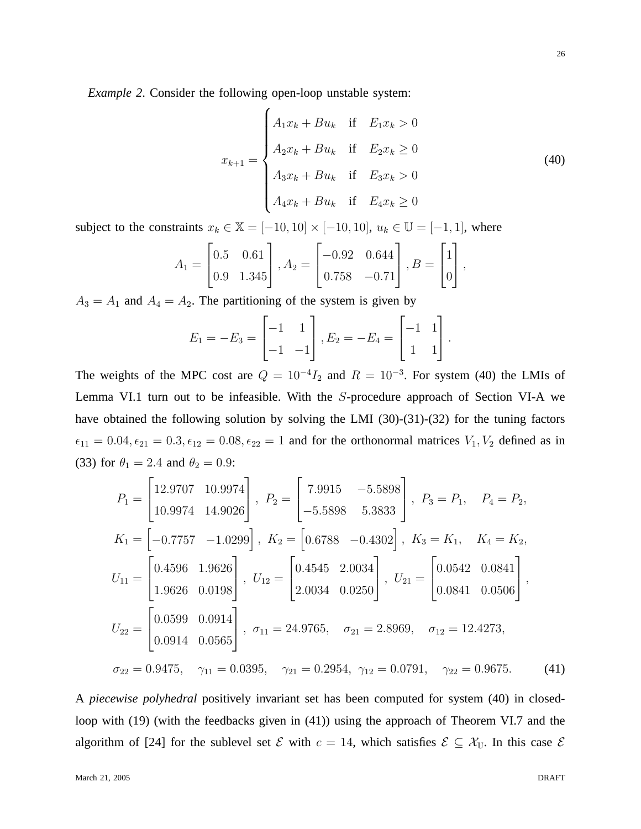*Example 2*. Consider the following open-loop unstable system:

$$
x_{k+1} = \begin{cases} A_1 x_k + B u_k & \text{if } E_1 x_k > 0 \\ A_2 x_k + B u_k & \text{if } E_2 x_k \ge 0 \\ A_3 x_k + B u_k & \text{if } E_3 x_k > 0 \\ A_4 x_k + B u_k & \text{if } E_4 x_k \ge 0 \end{cases}
$$
(40)

subject to the constraints  $x_k \in \mathbb{X} = [-10, 10] \times [-10, 10]$ ,  $u_k \in \mathbb{U} = [-1, 1]$ , where

$$
A_1 = \begin{bmatrix} 0.5 & 0.61 \\ 0.9 & 1.345 \end{bmatrix}, A_2 = \begin{bmatrix} -0.92 & 0.644 \\ 0.758 & -0.71 \end{bmatrix}, B = \begin{bmatrix} 1 \\ 0 \end{bmatrix},
$$

 $A_3 = A_1$  and  $A_4 = A_2$ . The partitioning of the system is given by

$$
E_1 = -E_3 = \begin{bmatrix} -1 & 1 \\ -1 & -1 \end{bmatrix}, E_2 = -E_4 = \begin{bmatrix} -1 & 1 \\ 1 & 1 \end{bmatrix}.
$$

The weights of the MPC cost are  $Q = 10^{-4}I_2$  and  $R = 10^{-3}$ . For system (40) the LMIs of Lemma VI.1 turn out to be infeasible. With the S-procedure approach of Section VI-A we have obtained the following solution by solving the LMI (30)-(31)-(32) for the tuning factors  $\epsilon_{11} = 0.04, \epsilon_{21} = 0.3, \epsilon_{12} = 0.08, \epsilon_{22} = 1$  and for the orthonormal matrices  $V_1, V_2$  defined as in (33) for  $\theta_1 = 2.4$  and  $\theta_2 = 0.9$ :

$$
P_1 = \begin{bmatrix} 12.9707 & 10.9974 \\ 10.9974 & 14.9026 \end{bmatrix}, P_2 = \begin{bmatrix} 7.9915 & -5.5898 \\ -5.5898 & 5.3833 \end{bmatrix}, P_3 = P_1, P_4 = P_2,
$$
  
\n
$$
K_1 = \begin{bmatrix} -0.7757 & -1.0299 \end{bmatrix}, K_2 = \begin{bmatrix} 0.6788 & -0.4302 \end{bmatrix}, K_3 = K_1, K_4 = K_2,
$$
  
\n
$$
U_{11} = \begin{bmatrix} 0.4596 & 1.9626 \\ 1.9626 & 0.0198 \end{bmatrix}, U_{12} = \begin{bmatrix} 0.4545 & 2.0034 \\ 2.0034 & 0.0250 \end{bmatrix}, U_{21} = \begin{bmatrix} 0.0542 & 0.0841 \\ 0.0841 & 0.0506 \end{bmatrix},
$$
  
\n
$$
U_{22} = \begin{bmatrix} 0.0599 & 0.0914 \\ 0.0914 & 0.0565 \end{bmatrix}, \sigma_{11} = 24.9765, \sigma_{21} = 2.8969, \sigma_{12} = 12.4273,
$$
  
\n
$$
\sigma_{22} = 0.9475, \gamma_{11} = 0.0395, \gamma_{21} = 0.2954, \gamma_{12} = 0.0791, \gamma_{22} = 0.9675.
$$
 (41)

A *piecewise polyhedral* positively invariant set has been computed for system (40) in closedloop with (19) (with the feedbacks given in (41)) using the approach of Theorem VI.7 and the algorithm of [24] for the sublevel set  $\mathcal E$  with  $c = 14$ , which satisfies  $\mathcal E \subseteq \mathcal X_{\mathbb U}$ . In this case  $\mathcal E$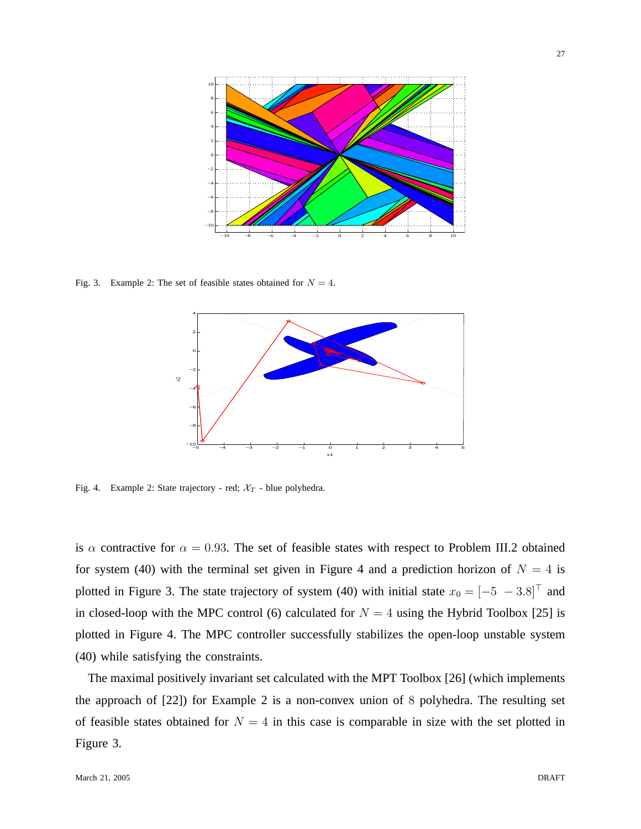

Fig. 3. Example 2: The set of feasible states obtained for  $N = 4$ .



Fig. 4. Example 2: State trajectory - red;  $\mathcal{X}_T$  - blue polyhedra.

is  $\alpha$  contractive for  $\alpha = 0.93$ . The set of feasible states with respect to Problem III.2 obtained for system (40) with the terminal set given in Figure 4 and a prediction horizon of  $N = 4$  is plotted in Figure 3. The state trajectory of system (40) with initial state  $x_0 = [-5 - 3.8]^T$  and in closed-loop with the MPC control (6) calculated for  $N = 4$  using the Hybrid Toolbox [25] is plotted in Figure 4. The MPC controller successfully stabilizes the open-loop unstable system (40) while satisfying the constraints.

The maximal positively invariant set calculated with the MPT Toolbox [26] (which implements the approach of [22]) for Example 2 is a non-convex union of 8 polyhedra. The resulting set of feasible states obtained for  $N = 4$  in this case is comparable in size with the set plotted in Figure 3.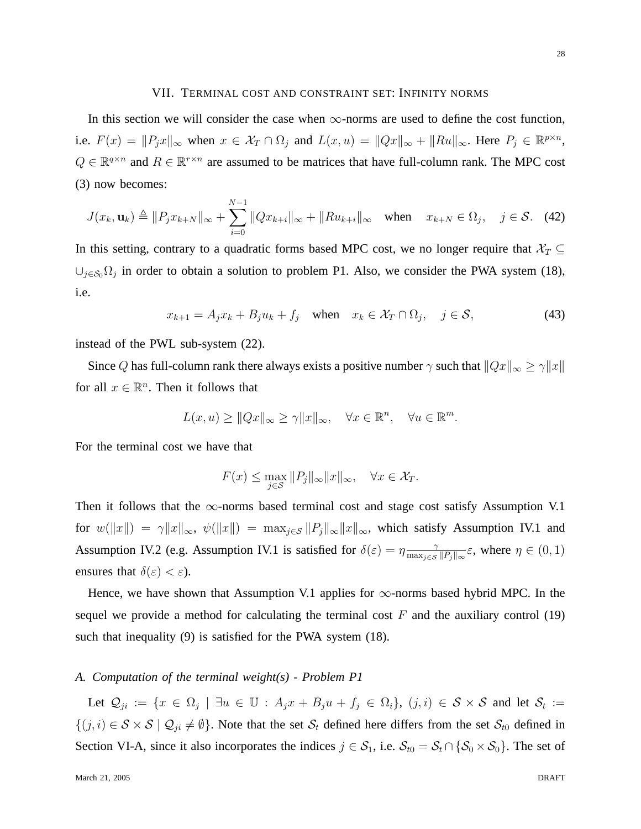#### VII. TERMINAL COST AND CONSTRAINT SET: INFINITY NORMS

In this section we will consider the case when  $\infty$ -norms are used to define the cost function, i.e.  $F(x) = ||P_j x||_{\infty}$  when  $x \in \mathcal{X}_T \cap \Omega_j$  and  $L(x, u) = ||Qx||_{\infty} + ||Ru||_{\infty}$ . Here  $P_j \in \mathbb{R}^{p \times n}$ ,  $Q \in \mathbb{R}^{q \times n}$  and  $R \in \mathbb{R}^{r \times n}$  are assumed to be matrices that have full-column rank. The MPC cost (3) now becomes:

$$
J(x_k, \mathbf{u}_k) \triangleq ||P_j x_{k+N}||_{\infty} + \sum_{i=0}^{N-1} ||Q x_{k+i}||_{\infty} + ||Ru_{k+i}||_{\infty} \quad \text{when} \quad x_{k+N} \in \Omega_j, \quad j \in \mathcal{S}. \tag{42}
$$

In this setting, contrary to a quadratic forms based MPC cost, we no longer require that  $\mathcal{X}_T \subseteq$  $\cup_{j\in\mathcal{S}_0} \Omega_j$  in order to obtain a solution to problem P1. Also, we consider the PWA system (18), i.e.

$$
x_{k+1} = A_j x_k + B_j u_k + f_j \quad \text{when} \quad x_k \in \mathcal{X}_T \cap \Omega_j, \quad j \in \mathcal{S}, \tag{43}
$$

instead of the PWL sub-system (22).

Since Q has full-column rank there always exists a positive number  $\gamma$  such that  $||Qx||_{\infty} \ge \gamma ||x||$ for all  $x \in \mathbb{R}^n$ . Then it follows that

$$
L(x, u) \ge ||Qx||_{\infty} \ge \gamma ||x||_{\infty}, \quad \forall x \in \mathbb{R}^n, \quad \forall u \in \mathbb{R}^m.
$$

For the terminal cost we have that

$$
F(x) \le \max_{j \in \mathcal{S}} \|P_j\|_{\infty} \|x\|_{\infty}, \quad \forall x \in \mathcal{X}_T.
$$

Then it follows that the  $\infty$ -norms based terminal cost and stage cost satisfy Assumption V.1 for  $w(\Vert x \Vert) = \gamma \Vert x \Vert_{\infty}, \ \psi(\Vert x \Vert) = \max_{j \in S} \|P_j\|_{\infty} \|x\|_{\infty},$  which satisfy Assumption IV.1 and Assumption IV.2 (e.g. Assumption IV.1 is satisfied for  $\delta(\varepsilon) = \eta \frac{\gamma}{\max(\varepsilon)}$  $\frac{\gamma}{\max_{j \in \mathcal{S}} ||P_j||_{\infty}} \varepsilon$ , where  $\eta \in (0, 1)$ ensures that  $\delta(\varepsilon) < \varepsilon$ ).

Hence, we have shown that Assumption V.1 applies for  $\infty$ -norms based hybrid MPC. In the sequel we provide a method for calculating the terminal cost  $F$  and the auxiliary control (19) such that inequality (9) is satisfied for the PWA system (18).

## *A. Computation of the terminal weight(s) - Problem P1*

Let  $\mathcal{Q}_{ji} := \{x \in \Omega_j \mid \exists u \in \mathbb{U} : A_j x + B_j u + f_j \in \Omega_i\}, (j,i) \in \mathcal{S} \times \mathcal{S}$  and let  $\mathcal{S}_t :=$  $\{(j, i) \in S \times S \mid \mathcal{Q}_{ji} \neq \emptyset\}$ . Note that the set  $\mathcal{S}_t$  defined here differs from the set  $\mathcal{S}_{t0}$  defined in Section VI-A, since it also incorporates the indices  $j \in S_1$ , i.e.  $S_{t0} = S_t \cap \{S_0 \times S_0\}$ . The set of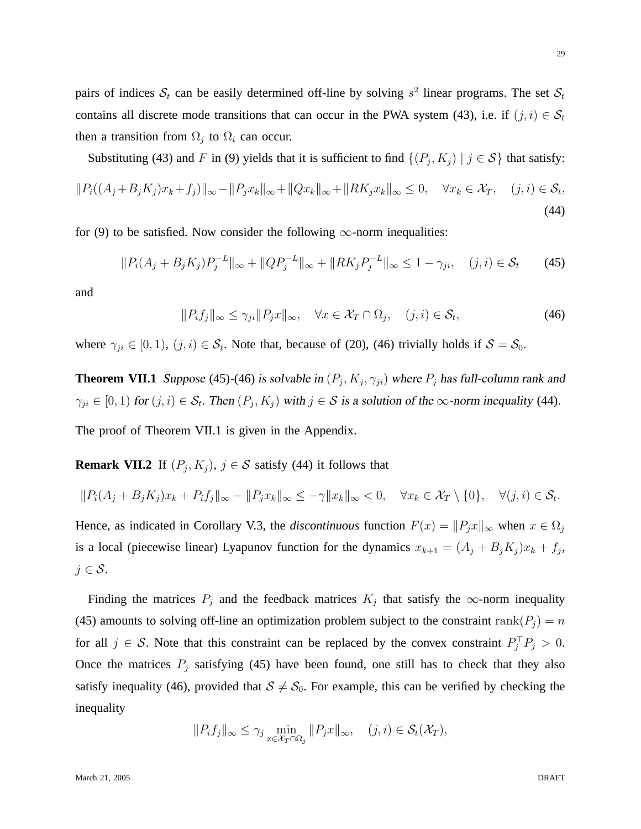pairs of indices  $S_t$  can be easily determined off-line by solving  $s^2$  linear programs. The set  $S_t$ contains all discrete mode transitions that can occur in the PWA system (43), i.e. if  $(j, i) \in S_t$ then a transition from  $\Omega_j$  to  $\Omega_i$  can occur.

Substituting (43) and F in (9) yields that it is sufficient to find  $\{(P_j, K_j) | j \in S\}$  that satisfy:

$$
||P_i((A_j + B_j K_j)x_k + f_j)||_{\infty} - ||P_j x_k||_{\infty} + ||Q x_k||_{\infty} + ||RK_j x_k||_{\infty} \le 0, \quad \forall x_k \in \mathcal{X}_T, \quad (j, i) \in \mathcal{S}_t,
$$
\n(44)

for (9) to be satisfied. Now consider the following  $\infty$ -norm inequalities:

$$
||P_i(A_j + B_j K_j)P_j^{-L}||_{\infty} + ||QP_j^{-L}||_{\infty} + ||RK_j P_j^{-L}||_{\infty} \le 1 - \gamma_{ji}, \quad (j, i) \in \mathcal{S}_t \tag{45}
$$

and

$$
||P_i f_j||_{\infty} \le \gamma_{ji} ||P_j x||_{\infty}, \quad \forall x \in \mathcal{X}_T \cap \Omega_j, \quad (j, i) \in \mathcal{S}_t,
$$
\n(46)

where  $\gamma_{ji} \in [0,1)$ ,  $(j,i) \in \mathcal{S}_t$ . Note that, because of (20), (46) trivially holds if  $\mathcal{S} = \mathcal{S}_0$ .

**Theorem VII.1** Suppose (45)-(46) is solvable in  $(P_j, K_j, \gamma_{ji})$  where  $P_j$  has full-column rank and  $\gamma_{ji} \in [0,1)$  for  $(j,i) \in \mathcal{S}_t$ . Then  $(P_j, K_j)$  with  $j \in \mathcal{S}$  is a solution of the  $\infty$ -norm inequality (44). The proof of Theorem VII.1 is given in the Appendix.

**Remark VII.2** If  $(P_j, K_j)$ ,  $j \in S$  satisfy (44) it follows that

$$
||P_i(A_j + B_j K_j)x_k + P_i f_j||_{\infty} - ||P_j x_k||_{\infty} \le -\gamma ||x_k||_{\infty} < 0, \quad \forall x_k \in \mathcal{X}_T \setminus \{0\}, \quad \forall (j, i) \in \mathcal{S}_t.
$$

Hence, as indicated in Corollary V.3, the *discontinuous* function  $F(x) = ||P_jx||_{\infty}$  when  $x \in \Omega_j$ is a local (piecewise linear) Lyapunov function for the dynamics  $x_{k+1} = (A_j + B_j K_j)x_k + f_j$ ,  $j \in \mathcal{S}$ .

Finding the matrices  $P_j$  and the feedback matrices  $K_j$  that satisfy the  $\infty$ -norm inequality (45) amounts to solving off-line an optimization problem subject to the constraint rank( $P_i$ ) = n for all  $j \in S$ . Note that this constraint can be replaced by the convex constraint  $P_j^\top P_j > 0$ . Once the matrices  $P_j$  satisfying (45) have been found, one still has to check that they also satisfy inequality (46), provided that  $S \neq S_0$ . For example, this can be verified by checking the inequality

$$
||P_i f_j||_{\infty} \leq \gamma_j \min_{x \in \mathcal{X}_T \cap \Omega_j} ||P_j x||_{\infty}, \quad (j, i) \in \mathcal{S}_t(\mathcal{X}_T),
$$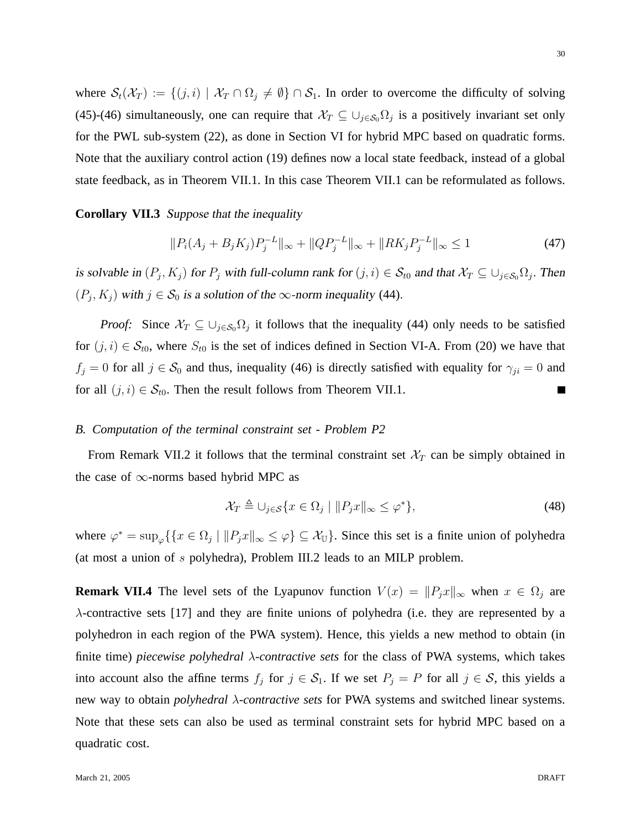where  $S_t(\mathcal{X}_T) := \{(j, i) \mid \mathcal{X}_T \cap \Omega_j \neq \emptyset\} \cap S_1$ . In order to overcome the difficulty of solving (45)-(46) simultaneously, one can require that  $\mathcal{X}_T \subseteq \bigcup_{j \in \mathcal{S}_0} \Omega_j$  is a positively invariant set only for the PWL sub-system (22), as done in Section VI for hybrid MPC based on quadratic forms. Note that the auxiliary control action (19) defines now a local state feedback, instead of a global state feedback, as in Theorem VII.1. In this case Theorem VII.1 can be reformulated as follows.

**Corollary VII.3** Suppose that the inequality

$$
||P_i(A_j + B_j K_j)P_j^{-L}||_{\infty} + ||QP_j^{-L}||_{\infty} + ||RK_j P_j^{-L}||_{\infty} \le 1
$$
\n(47)

is solvable in  $(P_j, K_j)$  for  $P_j$  with full-column rank for  $(j, i) \in S_{t0}$  and that  $\mathcal{X}_T \subseteq \cup_{j \in S_0} \Omega_j$ . Then  $(P_j, K_j)$  with  $j \in S_0$  is a solution of the  $\infty$ -norm inequality (44).

*Proof:* Since  $\mathcal{X}_T \subseteq \bigcup_{j \in \mathcal{S}_0} \Omega_j$  it follows that the inequality (44) only needs to be satisfied for  $(j, i) \in S_{t0}$ , where  $S_{t0}$  is the set of indices defined in Section VI-A. From (20) we have that  $f_j = 0$  for all  $j \in S_0$  and thus, inequality (46) is directly satisfied with equality for  $\gamma_{ji} = 0$  and for all  $(j, i) \in S_{t0}$ . Then the result follows from Theorem VII.1.  $\blacksquare$ 

## *B. Computation of the terminal constraint set - Problem P2*

From Remark VII.2 it follows that the terminal constraint set  $\mathcal{X}_T$  can be simply obtained in the case of  $\infty$ -norms based hybrid MPC as

$$
\mathcal{X}_T \triangleq \bigcup_{j \in \mathcal{S}} \{ x \in \Omega_j \mid ||P_j x||_{\infty} \le \varphi^* \},\tag{48}
$$

where  $\varphi^* = \sup_{\varphi} \{ \{ x \in \Omega_j \mid ||P_j x||_{\infty} \le \varphi \} \subseteq \mathcal{X}_{\mathbb{U}} \}$ . Since this set is a finite union of polyhedra (at most a union of s polyhedra), Problem III.2 leads to an MILP problem.

**Remark VII.4** The level sets of the Lyapunov function  $V(x) = ||P_jx||_{\infty}$  when  $x \in \Omega_j$  are λ-contractive sets [17] and they are finite unions of polyhedra (i.e. they are represented by a polyhedron in each region of the PWA system). Hence, this yields a new method to obtain (in finite time) *piecewise polyhedral* λ*-contractive sets* for the class of PWA systems, which takes into account also the affine terms  $f_j$  for  $j \in S_1$ . If we set  $P_j = P$  for all  $j \in S$ , this yields a new way to obtain *polyhedral* λ*-contractive sets* for PWA systems and switched linear systems. Note that these sets can also be used as terminal constraint sets for hybrid MPC based on a quadratic cost.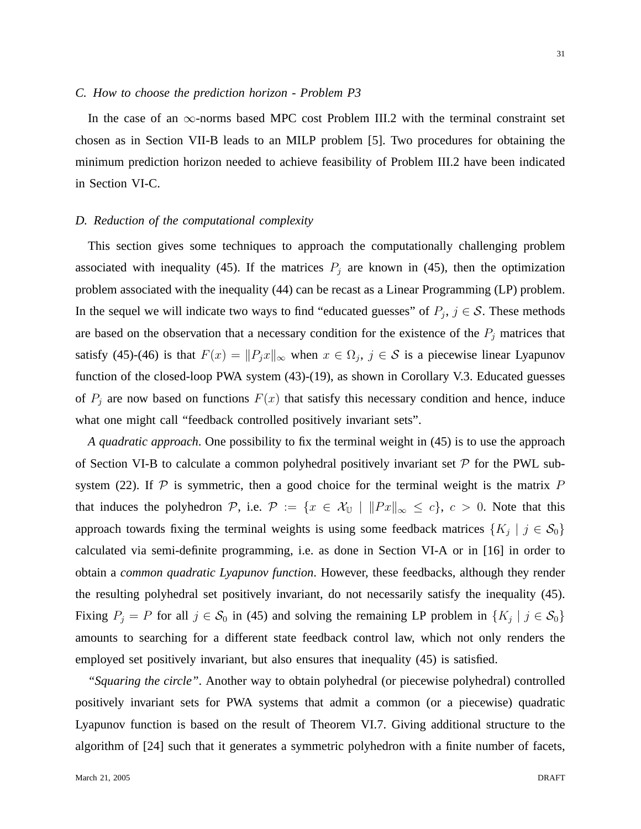#### *C. How to choose the prediction horizon - Problem P3*

In the case of an  $\infty$ -norms based MPC cost Problem III.2 with the terminal constraint set chosen as in Section VII-B leads to an MILP problem [5]. Two procedures for obtaining the minimum prediction horizon needed to achieve feasibility of Problem III.2 have been indicated in Section VI-C.

## *D. Reduction of the computational complexity*

This section gives some techniques to approach the computationally challenging problem associated with inequality (45). If the matrices  $P_j$  are known in (45), then the optimization problem associated with the inequality (44) can be recast as a Linear Programming (LP) problem. In the sequel we will indicate two ways to find "educated guesses" of  $P_j$ ,  $j \in S$ . These methods are based on the observation that a necessary condition for the existence of the  $P_j$  matrices that satisfy (45)-(46) is that  $F(x) = ||P_jx||_{\infty}$  when  $x \in \Omega_j$ ,  $j \in S$  is a piecewise linear Lyapunov function of the closed-loop PWA system (43)-(19), as shown in Corollary V.3. Educated guesses of  $P_j$  are now based on functions  $F(x)$  that satisfy this necessary condition and hence, induce what one might call "feedback controlled positively invariant sets".

*A quadratic approach*. One possibility to fix the terminal weight in (45) is to use the approach of Section VI-B to calculate a common polyhedral positively invariant set  $P$  for the PWL subsystem (22). If  $\mathcal P$  is symmetric, then a good choice for the terminal weight is the matrix  $P$ that induces the polyhedron P, i.e.  $\mathcal{P} := \{x \in \mathcal{X}_{\mathbb{U}} \mid ||Px||_{\infty} \le c\}, c > 0$ . Note that this approach towards fixing the terminal weights is using some feedback matrices  $\{K_j \mid j \in \mathcal{S}_0\}$ calculated via semi-definite programming, i.e. as done in Section VI-A or in [16] in order to obtain a *common quadratic Lyapunov function*. However, these feedbacks, although they render the resulting polyhedral set positively invariant, do not necessarily satisfy the inequality (45). Fixing  $P_j = P$  for all  $j \in S_0$  in (45) and solving the remaining LP problem in  $\{K_j \mid j \in S_0\}$ amounts to searching for a different state feedback control law, which not only renders the employed set positively invariant, but also ensures that inequality (45) is satisfied.

*"Squaring the circle"*. Another way to obtain polyhedral (or piecewise polyhedral) controlled positively invariant sets for PWA systems that admit a common (or a piecewise) quadratic Lyapunov function is based on the result of Theorem VI.7. Giving additional structure to the algorithm of [24] such that it generates a symmetric polyhedron with a finite number of facets,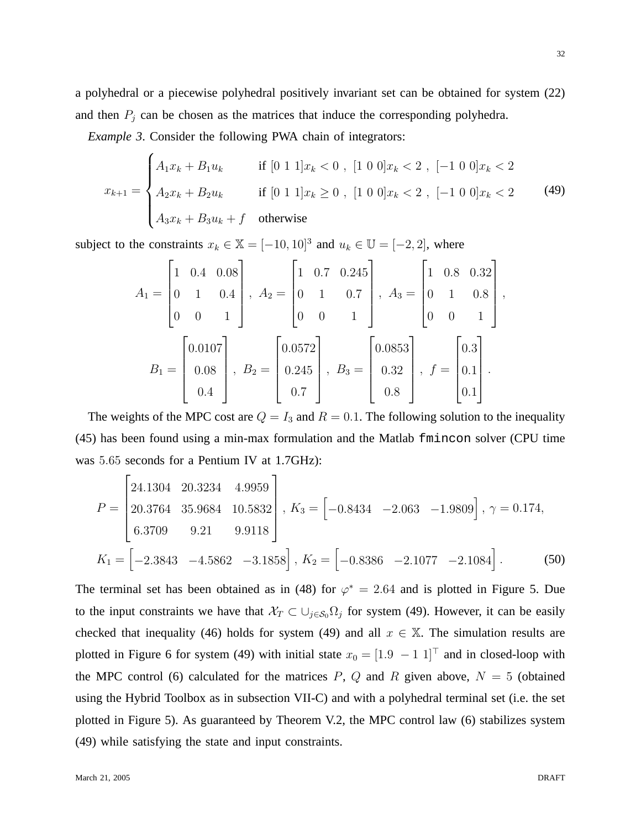a polyhedral or a piecewise polyhedral positively invariant set can be obtained for system (22) and then  $P_j$  can be chosen as the matrices that induce the corresponding polyhedra.

*Example 3*. Consider the following PWA chain of integrators:

$$
x_{k+1} = \begin{cases} A_1 x_k + B_1 u_k & \text{if } [0 \ 1 \ 1] x_k < 0 \end{cases}, \ [1 \ 0 \ 0] x_k < 2 \end{cases}, \ [-1 \ 0 \ 0] x_k < 2 \end{cases}
$$
\n
$$
x_{k+1} = \begin{cases} A_2 x_k + B_2 u_k & \text{if } [0 \ 1 \ 1] x_k \ge 0 \end{cases}, \ [1 \ 0 \ 0] x_k < 2 \end{cases}, \ [-1 \ 0 \ 0] x_k < 2 \tag{49}
$$
\n
$$
A_3 x_k + B_3 u_k + f \quad \text{otherwise}
$$

subject to the constraints  $x_k \in \mathbb{X} = [-10, 10]^3$  and  $u_k \in \mathbb{U} = [-2, 2]$ , where

$$
A_1 = \begin{bmatrix} 1 & 0.4 & 0.08 \\ 0 & 1 & 0.4 \\ 0 & 0 & 1 \end{bmatrix}, A_2 = \begin{bmatrix} 1 & 0.7 & 0.245 \\ 0 & 1 & 0.7 \\ 0 & 0 & 1 \end{bmatrix}, A_3 = \begin{bmatrix} 1 & 0.8 & 0.32 \\ 0 & 1 & 0.8 \\ 0 & 0 & 1 \end{bmatrix},
$$

$$
B_1 = \begin{bmatrix} 0.0107 \\ 0.08 \\ 0.4 \end{bmatrix}, B_2 = \begin{bmatrix} 0.0572 \\ 0.245 \\ 0.7 \end{bmatrix}, B_3 = \begin{bmatrix} 0.0853 \\ 0.32 \\ 0.8 \end{bmatrix}, f = \begin{bmatrix} 0.3 \\ 0.1 \\ 0.1 \end{bmatrix}.
$$

The weights of the MPC cost are  $Q = I_3$  and  $R = 0.1$ . The following solution to the inequality (45) has been found using a min-max formulation and the Matlab fmincon solver (CPU time was 5.65 seconds for a Pentium IV at 1.7GHz):

$$
P = \begin{bmatrix} 24.1304 & 20.3234 & 4.9959 \\ 20.3764 & 35.9684 & 10.5832 \\ 6.3709 & 9.21 & 9.9118 \end{bmatrix}, K_3 = \begin{bmatrix} -0.8434 & -2.063 & -1.9809 \end{bmatrix}, \gamma = 0.174,
$$
  

$$
K_1 = \begin{bmatrix} -2.3843 & -4.5862 & -3.1858 \end{bmatrix}, K_2 = \begin{bmatrix} -0.8386 & -2.1077 & -2.1084 \end{bmatrix}.
$$
 (50)

The terminal set has been obtained as in (48) for  $\varphi^* = 2.64$  and is plotted in Figure 5. Due to the input constraints we have that  $\mathcal{X}_T \subset \bigcup_{j \in \mathcal{S}_0} \Omega_j$  for system (49). However, it can be easily checked that inequality (46) holds for system (49) and all  $x \in \mathbb{X}$ . The simulation results are plotted in Figure 6 for system (49) with initial state  $x_0 = \begin{bmatrix} 1.9 & -1 & 1 \end{bmatrix}^\top$  and in closed-loop with the MPC control (6) calculated for the matrices  $P$ ,  $Q$  and  $R$  given above,  $N = 5$  (obtained using the Hybrid Toolbox as in subsection VII-C) and with a polyhedral terminal set (i.e. the set plotted in Figure 5). As guaranteed by Theorem V.2, the MPC control law (6) stabilizes system (49) while satisfying the state and input constraints.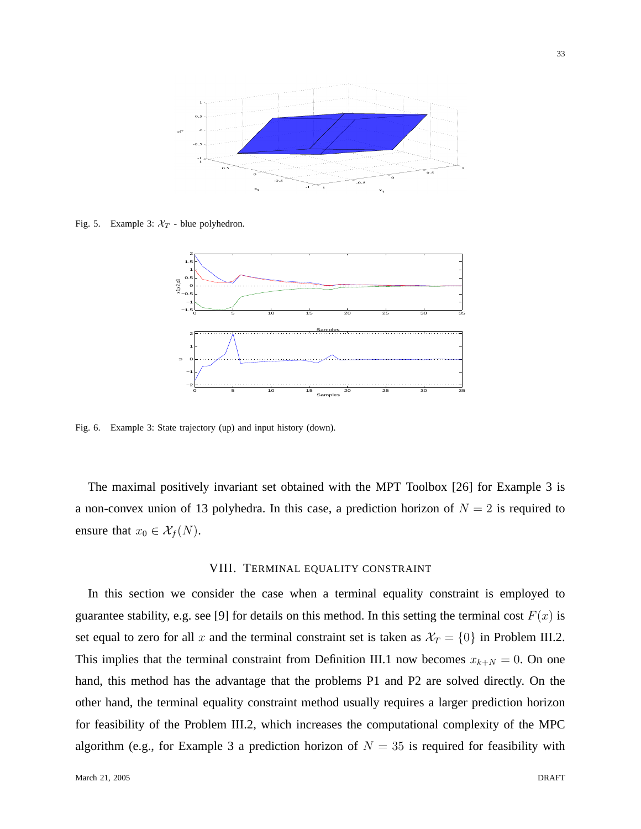

Fig. 5. Example 3:  $X_T$  - blue polyhedron.



Fig. 6. Example 3: State trajectory (up) and input history (down).

The maximal positively invariant set obtained with the MPT Toolbox [26] for Example 3 is a non-convex union of 13 polyhedra. In this case, a prediction horizon of  $N = 2$  is required to ensure that  $x_0 \in \mathcal{X}_f(N)$ .

## VIII. TERMINAL EQUALITY CONSTRAINT

In this section we consider the case when a terminal equality constraint is employed to guarantee stability, e.g. see [9] for details on this method. In this setting the terminal cost  $F(x)$  is set equal to zero for all x and the terminal constraint set is taken as  $\mathcal{X}_T = \{0\}$  in Problem III.2. This implies that the terminal constraint from Definition III.1 now becomes  $x_{k+N} = 0$ . On one hand, this method has the advantage that the problems P1 and P2 are solved directly. On the other hand, the terminal equality constraint method usually requires a larger prediction horizon for feasibility of the Problem III.2, which increases the computational complexity of the MPC algorithm (e.g., for Example 3 a prediction horizon of  $N = 35$  is required for feasibility with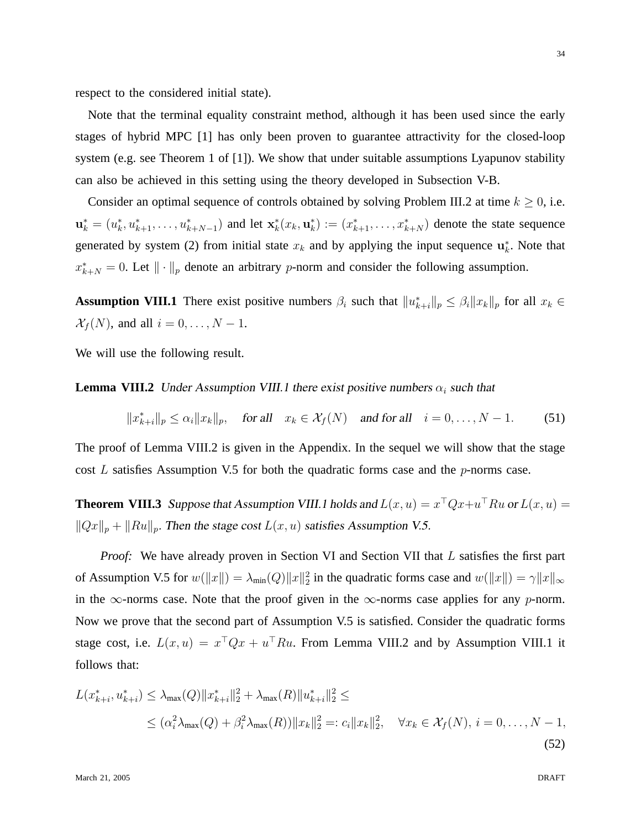respect to the considered initial state).

Note that the terminal equality constraint method, although it has been used since the early stages of hybrid MPC [1] has only been proven to guarantee attractivity for the closed-loop system (e.g. see Theorem 1 of [1]). We show that under suitable assumptions Lyapunov stability can also be achieved in this setting using the theory developed in Subsection V-B.

Consider an optimal sequence of controls obtained by solving Problem III.2 at time  $k \geq 0$ , i.e.  $\mathbf{u}_k^* = (u_k^*, u_{k+1}^*, \dots, u_{k+N-1}^*)$  and let  $\mathbf{x}_k^*(x_k, \mathbf{u}_k^*) := (x_{k+1}^*, \dots, x_{k+N}^*)$  denote the state sequence generated by system (2) from initial state  $x_k$  and by applying the input sequence  $\mathbf{u}_k^*$ . Note that  $x_{k+N}^* = 0$ . Let  $\|\cdot\|_p$  denote an arbitrary p-norm and consider the following assumption.

**Assumption VIII.1** There exist positive numbers  $\beta_i$  such that  $||u^*_{k+i}||_p \leq \beta_i ||x_k||_p$  for all  $x_k \in$  $\mathcal{X}_f(N)$ , and all  $i = 0, \ldots, N - 1$ .

We will use the following result.

**Lemma VIII.2** Under Assumption VIII.1 there exist positive numbers  $\alpha_i$  such that

$$
||x_{k+i}^*||_p \le \alpha_i ||x_k||_p, \quad \text{for all} \quad x_k \in \mathcal{X}_f(N) \quad \text{and for all} \quad i = 0, \dots, N-1. \tag{51}
$$

The proof of Lemma VIII.2 is given in the Appendix. In the sequel we will show that the stage cost  $L$  satisfies Assumption V.5 for both the quadratic forms case and the  $p$ -norms case.

**Theorem VIII.3** Suppose that Assumption VIII.1 holds and  $L(x, u) = x^{\top}Qx + u^{\top}Ru$  or  $L(x, u) =$  $||Qx||_p + ||Ru||_p$ . Then the stage cost  $L(x, u)$  satisfies Assumption V.5.

*Proof:* We have already proven in Section VI and Section VII that L satisfies the first part of Assumption V.5 for  $w(\|x\|) = \lambda_{\min}(Q) \|x\|_2^2$  in the quadratic forms case and  $w(\|x\|) = \gamma \|x\|_{\infty}$ in the  $\infty$ -norms case. Note that the proof given in the  $\infty$ -norms case applies for any p-norm. Now we prove that the second part of Assumption V.5 is satisfied. Consider the quadratic forms stage cost, i.e.  $L(x, u) = x^{\top}Qx + u^{\top}Ru$ . From Lemma VIII.2 and by Assumption VIII.1 it follows that:

$$
L(x_{k+i}^*, u_{k+i}^*) \le \lambda_{\max}(Q) \|x_{k+i}^*\|_2^2 + \lambda_{\max}(R) \|u_{k+i}^*\|_2^2 \le
$$
  
 
$$
\le (\alpha_i^2 \lambda_{\max}(Q) + \beta_i^2 \lambda_{\max}(R)) \|x_k\|_2^2 =: c_i \|x_k\|_2^2, \quad \forall x_k \in \mathcal{X}_f(N), i = 0, ..., N - 1,
$$
  
(52)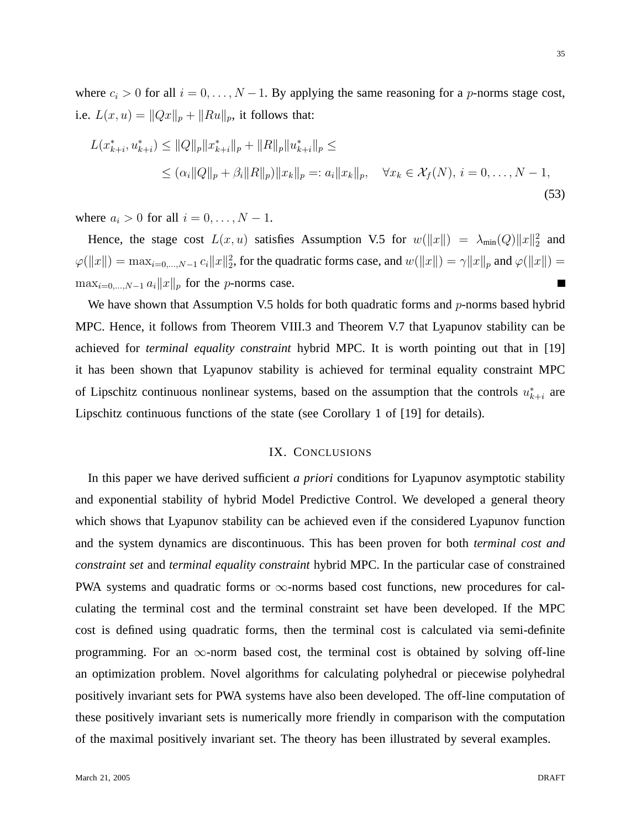where  $c_i > 0$  for all  $i = 0, \ldots, N - 1$ . By applying the same reasoning for a p-norms stage cost, i.e.  $L(x, u) = ||Qx||_p + ||Ru||_p$ , it follows that:

$$
L(x_{k+i}^*, u_{k+i}^*) \le ||Q||_p ||x_{k+i}^*||_p + ||R||_p ||u_{k+i}^*||_p \le
$$
  
 
$$
\le (\alpha_i ||Q||_p + \beta_i ||R||_p) ||x_k||_p =: a_i ||x_k||_p, \quad \forall x_k \in \mathcal{X}_f(N), \ i = 0, \dots, N-1,
$$
 (53)

where  $a_i > 0$  for all  $i = 0, \ldots, N - 1$ .

Hence, the stage cost  $L(x, u)$  satisfies Assumption V.5 for  $w(\Vert x \Vert) = \lambda_{\min}(Q) \Vert x \Vert_2^2$  and  $\varphi(\|x\|) = \max_{i=0,\dots,N-1} c_i \|x\|_2^2$ , for the quadratic forms case, and  $w(\|x\|) = \gamma \|x\|_p$  and  $\varphi(\|x\|) =$  $\max_{i=0,\dots,N-1} a_i ||x||_p$  for the *p*-norms case. П

We have shown that Assumption V.5 holds for both quadratic forms and  $p$ -norms based hybrid MPC. Hence, it follows from Theorem VIII.3 and Theorem V.7 that Lyapunov stability can be achieved for *terminal equality constraint* hybrid MPC. It is worth pointing out that in [19] it has been shown that Lyapunov stability is achieved for terminal equality constraint MPC of Lipschitz continuous nonlinear systems, based on the assumption that the controls  $u_{k+i}^*$  are Lipschitz continuous functions of the state (see Corollary 1 of [19] for details).

## IX. CONCLUSIONS

In this paper we have derived sufficient *a priori* conditions for Lyapunov asymptotic stability and exponential stability of hybrid Model Predictive Control. We developed a general theory which shows that Lyapunov stability can be achieved even if the considered Lyapunov function and the system dynamics are discontinuous. This has been proven for both *terminal cost and constraint set* and *terminal equality constraint* hybrid MPC. In the particular case of constrained PWA systems and quadratic forms or ∞-norms based cost functions, new procedures for calculating the terminal cost and the terminal constraint set have been developed. If the MPC cost is defined using quadratic forms, then the terminal cost is calculated via semi-definite programming. For an  $\infty$ -norm based cost, the terminal cost is obtained by solving off-line an optimization problem. Novel algorithms for calculating polyhedral or piecewise polyhedral positively invariant sets for PWA systems have also been developed. The off-line computation of these positively invariant sets is numerically more friendly in comparison with the computation of the maximal positively invariant set. The theory has been illustrated by several examples.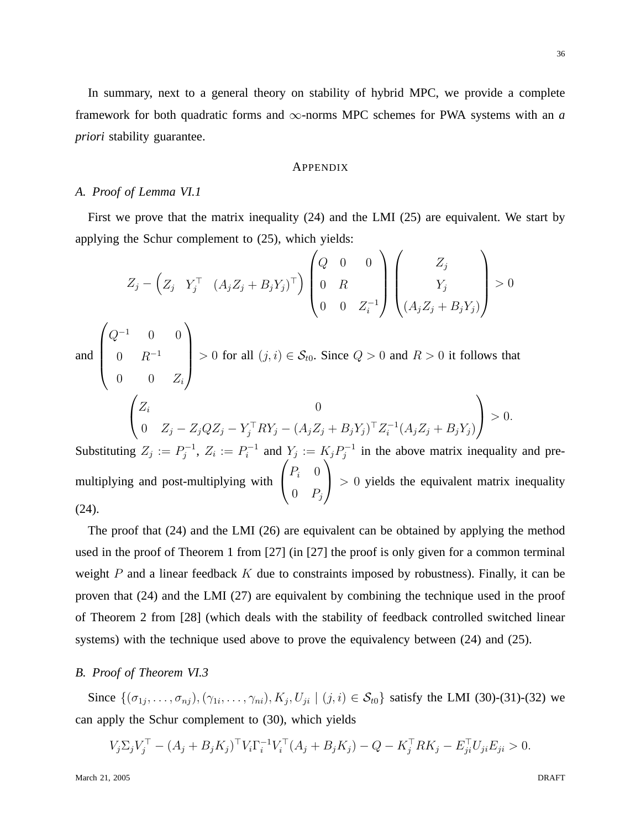In summary, next to a general theory on stability of hybrid MPC, we provide a complete framework for both quadratic forms and  $\infty$ -norms MPC schemes for PWA systems with an *a priori* stability guarantee.

## APPENDIX

## *A. Proof of Lemma VI.1*

First we prove that the matrix inequality (24) and the LMI (25) are equivalent. We start by applying the Schur complement to (25), which yields:

$$
Z_j - \left(Z_j Y_j^\top (A_j Z_j + B_j Y_j)^\top\right) \begin{pmatrix} Q & 0 & 0 \\ 0 & R & 0 \\ 0 & 0 & Z_i^{-1} \end{pmatrix} \begin{pmatrix} Z_j \\ Y_j \\ (A_j Z_j + B_j Y_j) \end{pmatrix} > 0
$$
  
and 
$$
\begin{pmatrix} Q^{-1} & 0 & 0 \\ 0 & R^{-1} & 0 \\ 0 & 0 & Z_i \end{pmatrix} > 0 \text{ for all } (j, i) \in \mathcal{S}_{t0}. \text{ Since } Q > 0 \text{ and } R > 0 \text{ it follows that}
$$

$$
\begin{pmatrix} Z_i & 0 \\ 0 & Z_j - Z_j Q Z_j - Y_j^\top R Y_j - (A_j Z_j + B_j Y_j)^\top Z_i^{-1} (A_j Z_j + B_j Y_j) \end{pmatrix} > 0.
$$
  
Substituting  $Z_j := P_j^{-1}, Z_i := P_i^{-1}$  and  $Y_j := K_j P_j^{-1}$  in the above matrix inequality and pre-  

$$
\begin{pmatrix} P_i & 0 \end{pmatrix}
$$

multiplying and post-multiplying with  $P_i$  0  $\begin{pmatrix} 0 & P_j \end{pmatrix} > 0$  yields the equivalent matrix inequality (24).

The proof that (24) and the LMI (26) are equivalent can be obtained by applying the method used in the proof of Theorem 1 from [27] (in [27] the proof is only given for a common terminal weight  $P$  and a linear feedback  $K$  due to constraints imposed by robustness). Finally, it can be proven that (24) and the LMI (27) are equivalent by combining the technique used in the proof of Theorem 2 from [28] (which deals with the stability of feedback controlled switched linear systems) with the technique used above to prove the equivalency between (24) and (25).

# *B. Proof of Theorem VI.3*

Since  $\{(\sigma_{1j}, \ldots, \sigma_{nj}), (\gamma_{1i}, \ldots, \gamma_{ni}), K_j, U_{ji} \mid (j,i) \in S_{t0}\}\$  satisfy the LMI (30)-(31)-(32) we can apply the Schur complement to (30), which yields

$$
V_j \Sigma_j V_j^{\top} - (A_j + B_j K_j)^{\top} V_i \Gamma_i^{-1} V_i^{\top} (A_j + B_j K_j) - Q - K_j^{\top} R K_j - E_{ji}^{\top} U_{ji} E_{ji} > 0.
$$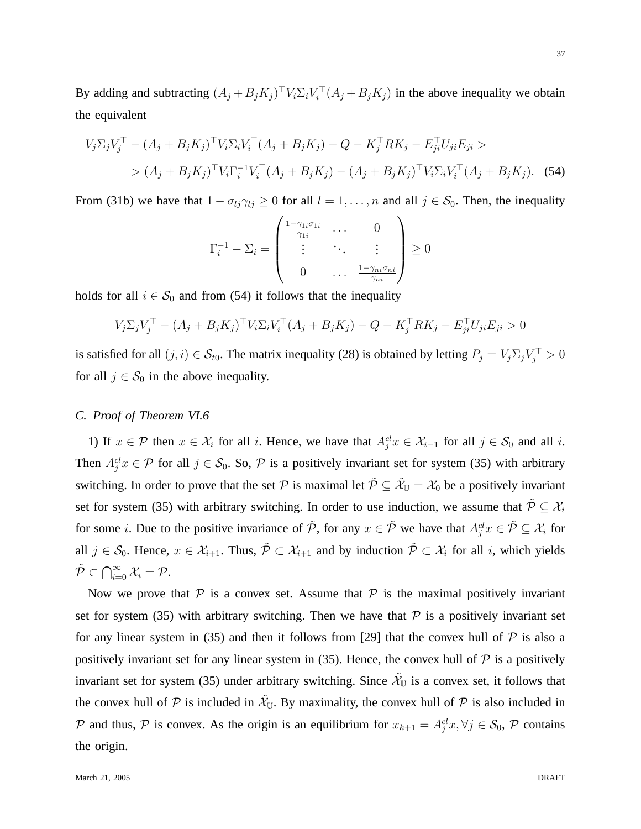By adding and subtracting  $(A_j + B_j K_j)^{\top} V_i \Sigma_i V_i^{\top} (A_j + B_j K_j)$  in the above inequality we obtain the equivalent

$$
V_j \Sigma_j V_j^{\top} - (A_j + B_j K_j)^{\top} V_i \Sigma_i V_i^{\top} (A_j + B_j K_j) - Q - K_j^{\top} R K_j - E_{ji}^{\top} U_{ji} E_{ji} >
$$
  
> 
$$
(A_j + B_j K_j)^{\top} V_i \Gamma_i^{-1} V_i^{\top} (A_j + B_j K_j) - (A_j + B_j K_j)^{\top} V_i \Sigma_i V_i^{\top} (A_j + B_j K_j).
$$
 (54)

From (31b) we have that  $1 - \sigma_{lj}\gamma_{lj} \ge 0$  for all  $l = 1, \ldots, n$  and all  $j \in S_0$ . Then, the inequality

$$
\Gamma_i^{-1} - \Sigma_i = \begin{pmatrix} \frac{1 - \gamma_{1i}\sigma_{1i}}{\gamma_{1i}} & \cdots & 0 \\ \vdots & \ddots & \vdots \\ 0 & \cdots & \frac{1 - \gamma_{ni}\sigma_{ni}}{\gamma_{ni}} \end{pmatrix} \ge 0
$$

holds for all  $i \in S_0$  and from (54) it follows that the inequality

$$
V_j \Sigma_j V_j^{\top} - (A_j + B_j K_j)^{\top} V_i \Sigma_i V_i^{\top} (A_j + B_j K_j) - Q - K_j^{\top} R K_j - E_{ji}^{\top} U_{ji} E_{ji} > 0
$$

is satisfied for all  $(j, i) \in S_{t0}$ . The matrix inequality (28) is obtained by letting  $P_j = V_j \Sigma_j V_j^{\top} > 0$ for all  $j \in S_0$  in the above inequality.

## *C. Proof of Theorem VI.6*

1) If  $x \in \mathcal{P}$  then  $x \in \mathcal{X}_i$  for all i. Hence, we have that  $A_j^{cl} x \in \mathcal{X}_{i-1}$  for all  $j \in \mathcal{S}_0$  and all i. Then  $A_j^{cl}x \in \mathcal{P}$  for all  $j \in \mathcal{S}_0$ . So,  $\mathcal{P}$  is a positively invariant set for system (35) with arbitrary switching. In order to prove that the set  $P$  is maximal let  $\tilde{P} \subseteq \tilde{\mathcal{X}}_U = \mathcal{X}_0$  be a positively invariant set for system (35) with arbitrary switching. In order to use induction, we assume that  $\tilde{\mathcal{P}} \subseteq \mathcal{X}_i$ for some *i*. Due to the positive invariance of  $\tilde{P}$ , for any  $x \in \tilde{P}$  we have that  $A_j^{cl} x \in \tilde{P} \subseteq \mathcal{X}_i$  for all  $j \in S_0$ . Hence,  $x \in \mathcal{X}_{i+1}$ . Thus,  $\tilde{\mathcal{P}} \subset \mathcal{X}_{i+1}$  and by induction  $\tilde{\mathcal{P}} \subset \mathcal{X}_i$  for all i, which yields  $\tilde{\mathcal{P}} \subset \bigcap_{i=0}^\infty \mathcal{X}_i = \mathcal{P}.$ 

Now we prove that  $P$  is a convex set. Assume that  $P$  is the maximal positively invariant set for system (35) with arbitrary switching. Then we have that  $P$  is a positively invariant set for any linear system in (35) and then it follows from [29] that the convex hull of  $\mathcal P$  is also a positively invariant set for any linear system in (35). Hence, the convex hull of  $P$  is a positively invariant set for system (35) under arbitrary switching. Since  $\tilde{\mathcal{X}}_U$  is a convex set, it follows that the convex hull of  $P$  is included in  $\tilde{\mathcal{X}}_{U}$ . By maximality, the convex hull of  $P$  is also included in P and thus, P is convex. As the origin is an equilibrium for  $x_{k+1} = A_j^{cl} x, \forall j \in S_0$ , P contains the origin.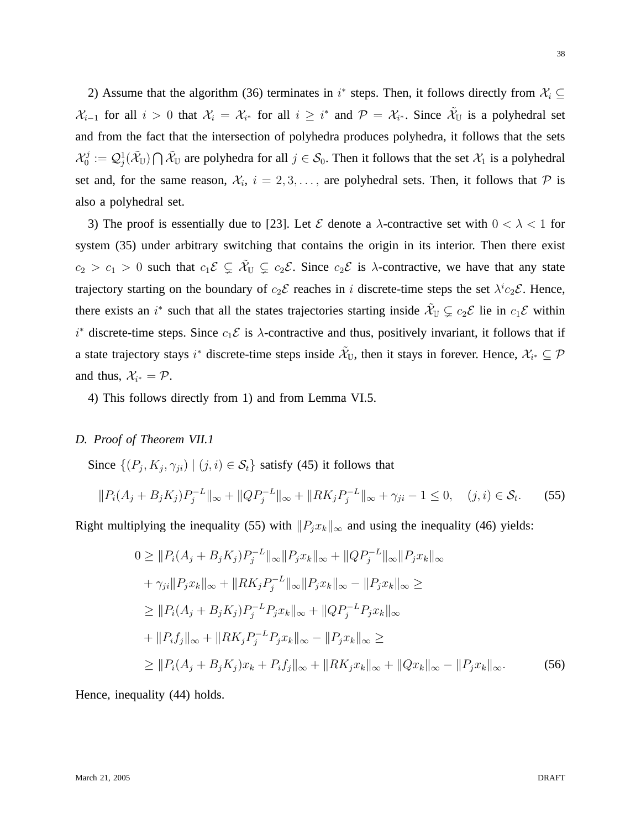2) Assume that the algorithm (36) terminates in  $i^*$  steps. Then, it follows directly from  $\mathcal{X}_i \subseteq$  $\mathcal{X}_{i-1}$  for all  $i > 0$  that  $\mathcal{X}_i = \mathcal{X}_{i^*}$  for all  $i \geq i^*$  and  $\mathcal{P} = \mathcal{X}_{i^*}$ . Since  $\tilde{\mathcal{X}}_{\mathbb{U}}$  is a polyhedral set and from the fact that the intersection of polyhedra produces polyhedra, it follows that the sets  $\mathcal{X}^j_0$  $\mathcal{Q}_0^{ij} := \mathcal{Q}_j^1(\tilde{\mathcal{X}}_{\mathbb{U}}) \bigcap \tilde{\mathcal{X}}_{\mathbb{U}}$  are polyhedra for all  $j \in \mathcal{S}_0$ . Then it follows that the set  $\mathcal{X}_1$  is a polyhedral set and, for the same reason,  $\mathcal{X}_i$ ,  $i = 2, 3, \ldots$ , are polyhedral sets. Then, it follows that  $\mathcal P$  is also a polyhedral set.

3) The proof is essentially due to [23]. Let  $\mathcal E$  denote a  $\lambda$ -contractive set with  $0 < \lambda < 1$  for system (35) under arbitrary switching that contains the origin in its interior. Then there exist  $c_2 > c_1 > 0$  such that  $c_1 \mathcal{E} \subsetneq \tilde{\mathcal{X}}_U \subsetneq c_2 \mathcal{E}$ . Since  $c_2 \mathcal{E}$  is  $\lambda$ -contractive, we have that any state trajectory starting on the boundary of  $c_2 \mathcal{E}$  reaches in i discrete-time steps the set  $\lambda^i c_2 \mathcal{E}$ . Hence, there exists an i<sup>\*</sup> such that all the states trajectories starting inside  $\tilde{\mathcal{X}}_U \subsetneq c_2 \mathcal{E}$  lie in  $c_1 \mathcal{E}$  within  $i^*$  discrete-time steps. Since  $c_1 \mathcal{E}$  is  $\lambda$ -contractive and thus, positively invariant, it follows that if a state trajectory stays i\* discrete-time steps inside  $\tilde{\mathcal{X}}_U$ , then it stays in forever. Hence,  $\mathcal{X}_{i^*}\subseteq \mathcal{P}$ and thus,  $\mathcal{X}_{i^*} = \mathcal{P}$ .

4) This follows directly from 1) and from Lemma VI.5.

## *D. Proof of Theorem VII.1*

Since  $\{(P_j, K_j, \gamma_{ji}) | (j, i) \in S_t\}$  satisfy (45) it follows that

$$
||P_i(A_j + B_j K_j)P_j^{-L}||_{\infty} + ||QP_j^{-L}||_{\infty} + ||RK_j P_j^{-L}||_{\infty} + \gamma_{ji} - 1 \le 0, \quad (j, i) \in S_t.
$$
 (55)

Right multiplying the inequality (55) with  $||P_jx_k||_{\infty}$  and using the inequality (46) yields:

$$
0 \geq ||P_i(A_j + B_j K_j)P_j^{-L}||_{\infty}||P_j x_k||_{\infty} + ||QP_j^{-L}||_{\infty}||P_j x_k||_{\infty}
$$
  
+  $\gamma_{ji}||P_j x_k||_{\infty} + ||RK_j P_j^{-L}||_{\infty}||P_j x_k||_{\infty} - ||P_j x_k||_{\infty} \ge$   

$$
\geq ||P_i(A_j + B_j K_j)P_j^{-L} P_j x_k||_{\infty} + ||QP_j^{-L} P_j x_k||_{\infty}
$$
  
+  $||P_i f_j||_{\infty} + ||RK_j P_j^{-L} P_j x_k||_{\infty} - ||P_j x_k||_{\infty} \ge$   

$$
\geq ||P_i(A_j + B_j K_j) x_k + P_i f_j||_{\infty} + ||RK_j x_k||_{\infty} + ||Q x_k||_{\infty} - ||P_j x_k||_{\infty}.
$$
 (56)

Hence, inequality (44) holds.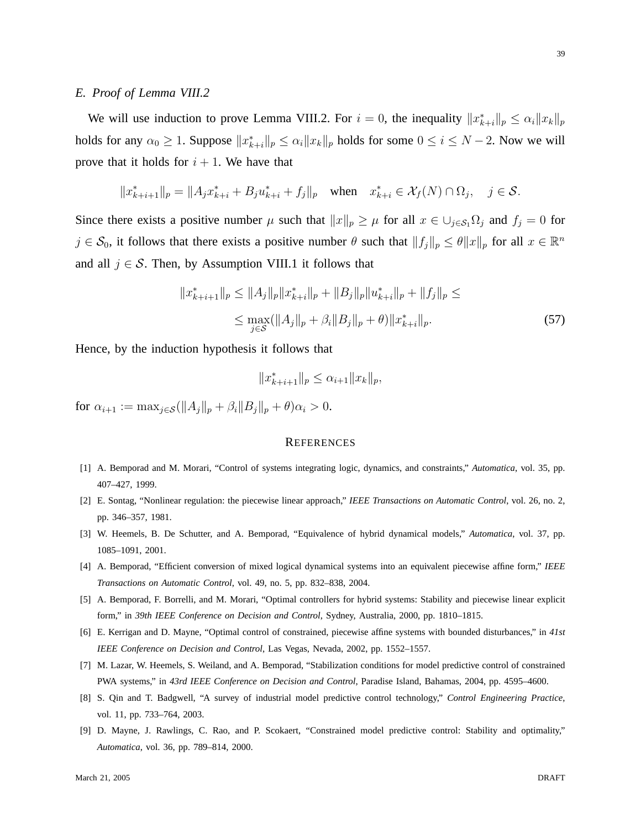We will use induction to prove Lemma VIII.2. For  $i = 0$ , the inequality  $||x_{k+i}^*||_p \le \alpha_i ||x_k||_p$ holds for any  $\alpha_0 \ge 1$ . Suppose  $||x^*_{k+i}||_p \le \alpha_i ||x_k||_p$  holds for some  $0 \le i \le N-2$ . Now we will prove that it holds for  $i + 1$ . We have that

$$
||x_{k+i+1}^*||_p = ||A_j x_{k+i}^* + B_j u_{k+i}^* + f_j||_p \quad \text{when} \quad x_{k+i}^* \in \mathcal{X}_f(N) \cap \Omega_j, \quad j \in \mathcal{S}.
$$

Since there exists a positive number  $\mu$  such that  $||x||_p \ge \mu$  for all  $x \in \bigcup_{j \in S_1} \Omega_j$  and  $f_j = 0$  for  $j \in \mathcal{S}_0$ , it follows that there exists a positive number  $\theta$  such that  $||f_j||_p \le \theta ||x||_p$  for all  $x \in \mathbb{R}^n$ and all  $j \in S$ . Then, by Assumption VIII.1 it follows that

$$
||x_{k+i+1}^*||_p \le ||A_j||_p ||x_{k+i}^*||_p + ||B_j||_p ||u_{k+i}^*||_p + ||f_j||_p \le
$$
  

$$
\le \max_{j \in S} (||A_j||_p + \beta_i ||B_j||_p + \theta) ||x_{k+i}^*||_p.
$$
 (57)

Hence, by the induction hypothesis it follows that

$$
||x_{k+i+1}^*||_p \le \alpha_{i+1} ||x_k||_p,
$$

for  $\alpha_{i+1} := \max_{i \in S} (\|A_i\|_p + \beta_i \|B_i\|_p + \theta)\alpha_i > 0.$ 

## **REFERENCES**

- [1] A. Bemporad and M. Morari, "Control of systems integrating logic, dynamics, and constraints," *Automatica*, vol. 35, pp. 407–427, 1999.
- [2] E. Sontag, "Nonlinear regulation: the piecewise linear approach," *IEEE Transactions on Automatic Control*, vol. 26, no. 2, pp. 346–357, 1981.
- [3] W. Heemels, B. De Schutter, and A. Bemporad, "Equivalence of hybrid dynamical models," *Automatica*, vol. 37, pp. 1085–1091, 2001.
- [4] A. Bemporad, "Efficient conversion of mixed logical dynamical systems into an equivalent piecewise affine form," *IEEE Transactions on Automatic Control*, vol. 49, no. 5, pp. 832–838, 2004.
- [5] A. Bemporad, F. Borrelli, and M. Morari, "Optimal controllers for hybrid systems: Stability and piecewise linear explicit form," in *39th IEEE Conference on Decision and Control*, Sydney, Australia, 2000, pp. 1810–1815.
- [6] E. Kerrigan and D. Mayne, "Optimal control of constrained, piecewise affine systems with bounded disturbances," in *41st IEEE Conference on Decision and Control*, Las Vegas, Nevada, 2002, pp. 1552–1557.
- [7] M. Lazar, W. Heemels, S. Weiland, and A. Bemporad, "Stabilization conditions for model predictive control of constrained PWA systems," in *43rd IEEE Conference on Decision and Control*, Paradise Island, Bahamas, 2004, pp. 4595–4600.
- [8] S. Qin and T. Badgwell, "A survey of industrial model predictive control technology," *Control Engineering Practice*, vol. 11, pp. 733–764, 2003.
- [9] D. Mayne, J. Rawlings, C. Rao, and P. Scokaert, "Constrained model predictive control: Stability and optimality," *Automatica*, vol. 36, pp. 789–814, 2000.